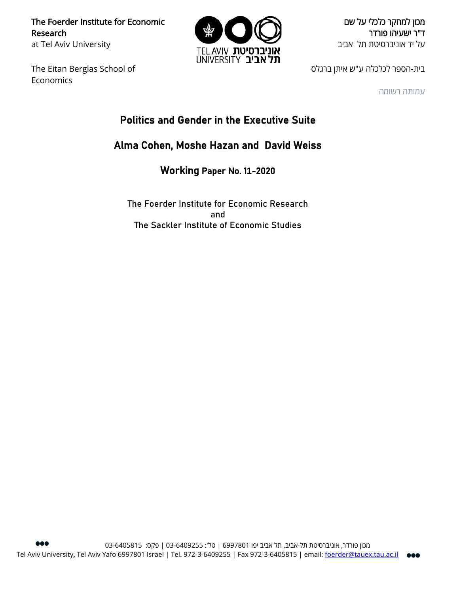The Foerder Institute for Economic Research at Tel Aviv University

The Eitan Berglas School of Economics



מכון למחקר כלכלי על שם ד"ר ישעיהו פורדר על יד אוניברסיטת תל אביב

בית-הספר לכלכלה ע"ש איתן ברגלס

עמותה רשומה

# Politics and Gender in the Executive Suite

# Alma Cohen, Moshe Hazan and David Weiss

Working Paper No. 1**1**-2020

The Foerder Institute for Economic Research and The Sackler Institute of Economic Studies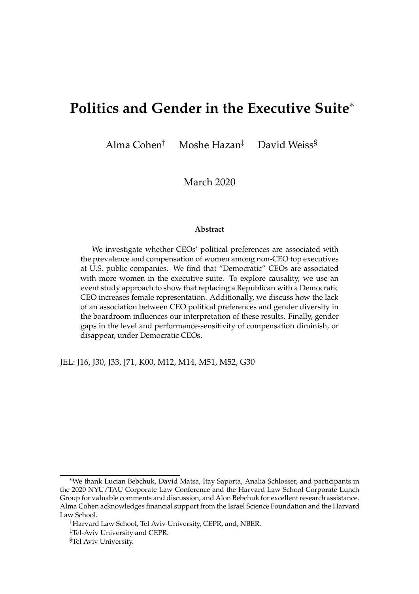# **Politics and Gender in the Executive Suite**<sup>∗</sup>

Alma Cohen† Moshe Hazan‡ David Weiss§

March 2020

#### **Abstract**

We investigate whether CEOs' political preferences are associated with the prevalence and compensation of women among non-CEO top executives at U.S. public companies. We find that "Democratic" CEOs are associated with more women in the executive suite. To explore causality, we use an event study approach to show that replacing a Republican with a Democratic CEO increases female representation. Additionally, we discuss how the lack of an association between CEO political preferences and gender diversity in the boardroom influences our interpretation of these results. Finally, gender gaps in the level and performance-sensitivity of compensation diminish, or disappear, under Democratic CEOs.

JEL: J16, J30, J33, J71, K00, M12, M14, M51, M52, G30

<sup>∗</sup>We thank Lucian Bebchuk, David Matsa, Itay Saporta, Analia Schlosser, and participants in the 2020 NYU/TAU Corporate Law Conference and the Harvard Law School Corporate Lunch Group for valuable comments and discussion, and Alon Bebchuk for excellent research assistance. Alma Cohen acknowledges financial support from the Israel Science Foundation and the Harvard Law School.

<sup>†</sup>Harvard Law School, Tel Aviv University, CEPR, and, NBER.

<sup>‡</sup>Tel-Aviv University and CEPR.

<sup>§</sup>Tel Aviv University.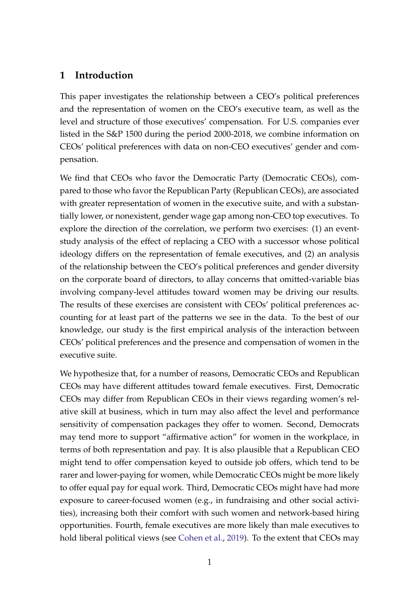### **1 Introduction**

This paper investigates the relationship between a CEO's political preferences and the representation of women on the CEO's executive team, as well as the level and structure of those executives' compensation. For U.S. companies ever listed in the S&P 1500 during the period 2000-2018, we combine information on CEOs' political preferences with data on non-CEO executives' gender and compensation.

We find that CEOs who favor the Democratic Party (Democratic CEOs), compared to those who favor the Republican Party (Republican CEOs), are associated with greater representation of women in the executive suite, and with a substantially lower, or nonexistent, gender wage gap among non-CEO top executives. To explore the direction of the correlation, we perform two exercises: (1) an eventstudy analysis of the effect of replacing a CEO with a successor whose political ideology differs on the representation of female executives, and (2) an analysis of the relationship between the CEO's political preferences and gender diversity on the corporate board of directors, to allay concerns that omitted-variable bias involving company-level attitudes toward women may be driving our results. The results of these exercises are consistent with CEOs' political preferences accounting for at least part of the patterns we see in the data. To the best of our knowledge, our study is the first empirical analysis of the interaction between CEOs' political preferences and the presence and compensation of women in the executive suite.

We hypothesize that, for a number of reasons, Democratic CEOs and Republican CEOs may have different attitudes toward female executives. First, Democratic CEOs may differ from Republican CEOs in their views regarding women's relative skill at business, which in turn may also affect the level and performance sensitivity of compensation packages they offer to women. Second, Democrats may tend more to support "affirmative action" for women in the workplace, in terms of both representation and pay. It is also plausible that a Republican CEO might tend to offer compensation keyed to outside job offers, which tend to be rarer and lower-paying for women, while Democratic CEOs might be more likely to offer equal pay for equal work. Third, Democratic CEOs might have had more exposure to career-focused women (e.g., in fundraising and other social activities), increasing both their comfort with such women and network-based hiring opportunities. Fourth, female executives are more likely than male executives to hold liberal political views (see [Cohen et al.](#page-27-0), [2019](#page-27-0)). To the extent that CEOs may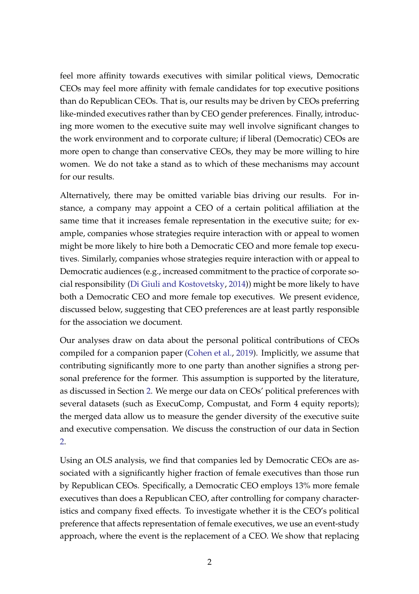feel more affinity towards executives with similar political views, Democratic CEOs may feel more affinity with female candidates for top executive positions than do Republican CEOs. That is, our results may be driven by CEOs preferring like-minded executives rather than by CEO gender preferences. Finally, introducing more women to the executive suite may well involve significant changes to the work environment and to corporate culture; if liberal (Democratic) CEOs are more open to change than conservative CEOs, they may be more willing to hire women. We do not take a stand as to which of these mechanisms may account for our results.

Alternatively, there may be omitted variable bias driving our results. For instance, a company may appoint a CEO of a certain political affiliation at the same time that it increases female representation in the executive suite; for example, companies whose strategies require interaction with or appeal to women might be more likely to hire both a Democratic CEO and more female top executives. Similarly, companies whose strategies require interaction with or appeal to Democratic audiences (e.g., increased commitment to the practice of corporate social responsibility [\(Di Giuli and Kostovetsky](#page-27-1), [2014\)](#page-27-1)) might be more likely to have both a Democratic CEO and more female top executives. We present evidence, discussed below, suggesting that CEO preferences are at least partly responsible for the association we document.

Our analyses draw on data about the personal political contributions of CEOs compiled for a companion paper [\(Cohen et al.](#page-27-0), [2019\)](#page-27-0). Implicitly, we assume that contributing significantly more to one party than another signifies a strong personal preference for the former. This assumption is supported by the literature, as discussed in Section [2.](#page-6-0) We merge our data on CEOs' political preferences with several datasets (such as ExecuComp, Compustat, and Form 4 equity reports); the merged data allow us to measure the gender diversity of the executive suite and executive compensation. We discuss the construction of our data in Section [2.](#page-6-0)

Using an OLS analysis, we find that companies led by Democratic CEOs are associated with a significantly higher fraction of female executives than those run by Republican CEOs. Specifically, a Democratic CEO employs 13% more female executives than does a Republican CEO, after controlling for company characteristics and company fixed effects. To investigate whether it is the CEO's political preference that affects representation of female executives, we use an event-study approach, where the event is the replacement of a CEO. We show that replacing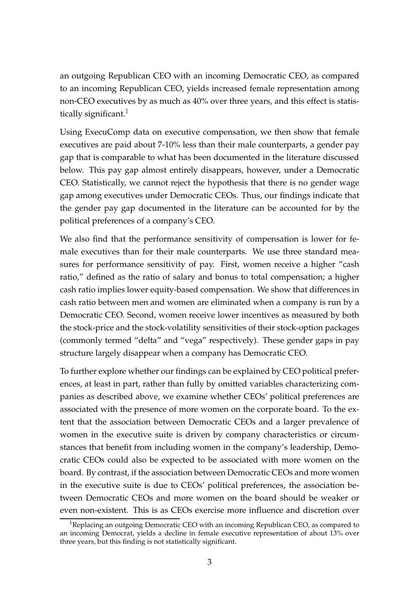an outgoing Republican CEO with an incoming Democratic CEO, as compared to an incoming Republican CEO, yields increased female representation among non-CEO executives by as much as 40% over three years, and this effect is statistically significant. $1$ 

Using ExecuComp data on executive compensation, we then show that female executives are paid about 7-10% less than their male counterparts, a gender pay gap that is comparable to what has been documented in the literature discussed below. This pay gap almost entirely disappears, however, under a Democratic CEO. Statistically, we cannot reject the hypothesis that there is no gender wage gap among executives under Democratic CEOs. Thus, our findings indicate that the gender pay gap documented in the literature can be accounted for by the political preferences of a company's CEO.

We also find that the performance sensitivity of compensation is lower for female executives than for their male counterparts. We use three standard measures for performance sensitivity of pay. First, women receive a higher "cash ratio," defined as the ratio of salary and bonus to total compensation; a higher cash ratio implies lower equity-based compensation. We show that differences in cash ratio between men and women are eliminated when a company is run by a Democratic CEO. Second, women receive lower incentives as measured by both the stock-price and the stock-volatility sensitivities of their stock-option packages (commonly termed "delta" and "vega" respectively). These gender gaps in pay structure largely disappear when a company has Democratic CEO.

To further explore whether our findings can be explained by CEO political preferences, at least in part, rather than fully by omitted variables characterizing companies as described above, we examine whether CEOs' political preferences are associated with the presence of more women on the corporate board. To the extent that the association between Democratic CEOs and a larger prevalence of women in the executive suite is driven by company characteristics or circumstances that benefit from including women in the company's leadership, Democratic CEOs could also be expected to be associated with more women on the board. By contrast, if the association between Democratic CEOs and more women in the executive suite is due to CEOs' political preferences, the association between Democratic CEOs and more women on the board should be weaker or even non-existent. This is as CEOs exercise more influence and discretion over

<span id="page-4-0"></span><sup>&</sup>lt;sup>1</sup>Replacing an outgoing Democratic CEO with an incoming Republican CEO, as compared to an incoming Democrat, yields a decline in female executive representation of about 13% over three years, but this finding is not statistically significant.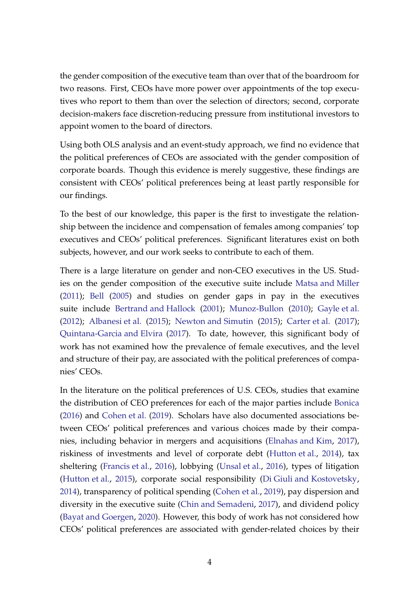the gender composition of the executive team than over that of the boardroom for two reasons. First, CEOs have more power over appointments of the top executives who report to them than over the selection of directors; second, corporate decision-makers face discretion-reducing pressure from institutional investors to appoint women to the board of directors.

Using both OLS analysis and an event-study approach, we find no evidence that the political preferences of CEOs are associated with the gender composition of corporate boards. Though this evidence is merely suggestive, these findings are consistent with CEOs' political preferences being at least partly responsible for our findings.

To the best of our knowledge, this paper is the first to investigate the relationship between the incidence and compensation of females among companies' top executives and CEOs' political preferences. Significant literatures exist on both subjects, however, and our work seeks to contribute to each of them.

There is a large literature on gender and non-CEO executives in the US. Studies on the gender composition of the executive suite include [Matsa and Miller](#page-28-0) [\(2011\)](#page-28-0); [Bell](#page-27-2) [\(2005](#page-27-2)) and studies on gender gaps in pay in the executives suite include [Bertrand and Hallock](#page-27-3) [\(2001](#page-27-3)); [Munoz-Bullon](#page-28-1) [\(2010\)](#page-28-1); [Gayle et al.](#page-28-2) [\(2012\)](#page-28-2); [Albanesi et al.](#page-27-4) [\(2015](#page-27-4)); [Newton and Simutin](#page-28-3) [\(2015](#page-28-3)); [Carter et al.](#page-27-5) [\(2017](#page-27-5)); [Quintana-Garcia and Elvira](#page-28-4) [\(2017](#page-28-4)). To date, however, this significant body of work has not examined how the prevalence of female executives, and the level and structure of their pay, are associated with the political preferences of companies' CEOs.

In the literature on the political preferences of U.S. CEOs, studies that examine the distribution of CEO preferences for each of the major parties include [Bonica](#page-27-6) [\(2016\)](#page-27-6) and [Cohen et al.](#page-27-0) [\(2019\)](#page-27-0). Scholars have also documented associations between CEOs' political preferences and various choices made by their companies, including behavior in mergers and acquisitions [\(Elnahas and Kim,](#page-28-5) [2017](#page-28-5)), riskiness of investments and level of corporate debt [\(Hutton et al.](#page-28-6), [2014](#page-28-6)), tax sheltering [\(Francis et al.,](#page-28-7) [2016](#page-28-7)), lobbying [\(Unsal et al.,](#page-28-8) [2016](#page-28-8)), types of litigation [\(Hutton et al.,](#page-28-9) [2015\)](#page-28-9), corporate social responsibility [\(Di Giuli and Kostovetsky](#page-27-1), [2014\)](#page-27-1), transparency of political spending [\(Cohen et al.](#page-27-0), [2019\)](#page-27-0), pay dispersion and diversity in the executive suite [\(Chin and Semadeni,](#page-27-7) [2017](#page-27-7)), and dividend policy [\(Bayat and Goergen](#page-27-8), [2020](#page-27-8)). However, this body of work has not considered how CEOs' political preferences are associated with gender-related choices by their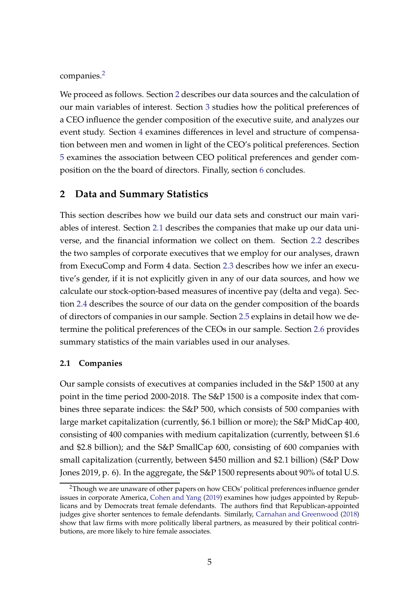companies.[2](#page-6-1)

We proceed as follows. Section [2](#page-6-0) describes our data sources and the calculation of our main variables of interest. Section [3](#page-14-0) studies how the political preferences of a CEO influence the gender composition of the executive suite, and analyzes our event study. Section [4](#page-19-0) examines differences in level and structure of compensation between men and women in light of the CEO's political preferences. Section [5](#page-24-0) examines the association between CEO political preferences and gender composition on the the board of directors. Finally, section [6](#page-26-0) concludes.

#### <span id="page-6-0"></span>**2 Data and Summary Statistics**

This section describes how we build our data sets and construct our main variables of interest. Section [2.1](#page-6-2) describes the companies that make up our data universe, and the financial information we collect on them. Section [2.2](#page-7-0) describes the two samples of corporate executives that we employ for our analyses, drawn from ExecuComp and Form 4 data. Section [2.3](#page-9-0) describes how we infer an executive's gender, if it is not explicitly given in any of our data sources, and how we calculate our stock-option-based measures of incentive pay (delta and vega). Section [2.4](#page-9-1) describes the source of our data on the gender composition of the boards of directors of companies in our sample. Section [2.5](#page-9-2) explains in detail how we determine the political preferences of the CEOs in our sample. Section [2.6](#page-12-0) provides summary statistics of the main variables used in our analyses.

#### <span id="page-6-2"></span>**2.1 Companies**

Our sample consists of executives at companies included in the S&P 1500 at any point in the time period 2000-2018. The S&P 1500 is a composite index that combines three separate indices: the S&P 500, which consists of 500 companies with large market capitalization (currently, \$6.1 billion or more); the S&P MidCap 400, consisting of 400 companies with medium capitalization (currently, between \$1.6 and \$2.8 billion); and the S&P SmallCap 600, consisting of 600 companies with small capitalization (currently, between \$450 million and \$2.1 billion) (S&P Dow Jones 2019, p. 6). In the aggregate, the S&P 1500 represents about 90% of total U.S.

<span id="page-6-1"></span><sup>&</sup>lt;sup>2</sup>Though we are unaware of other papers on how CEOs' political preferences influence gender issues in corporate America, [Cohen and Yang](#page-27-9) [\(2019](#page-27-9)) examines how judges appointed by Republicans and by Democrats treat female defendants. The authors find that Republican-appointed judges give shorter sentences to female defendants. Similarly, [Carnahan and Greenwood](#page-27-10) [\(2018\)](#page-27-10) show that law firms with more politically liberal partners, as measured by their political contributions, are more likely to hire female associates.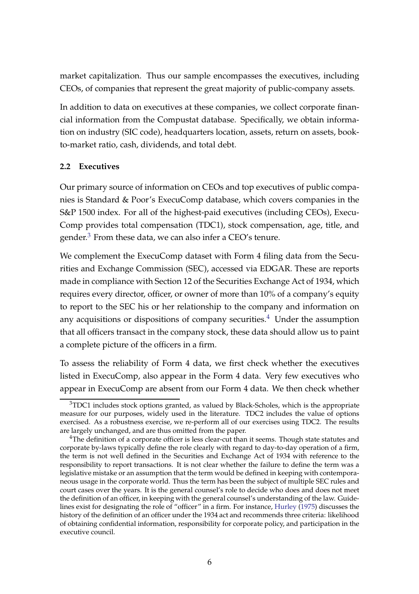market capitalization. Thus our sample encompasses the executives, including CEOs, of companies that represent the great majority of public-company assets.

In addition to data on executives at these companies, we collect corporate financial information from the Compustat database. Specifically, we obtain information on industry (SIC code), headquarters location, assets, return on assets, bookto-market ratio, cash, dividends, and total debt.

### <span id="page-7-0"></span>**2.2 Executives**

Our primary source of information on CEOs and top executives of public companies is Standard & Poor's ExecuComp database, which covers companies in the S&P 1500 index. For all of the highest-paid executives (including CEOs), Execu-Comp provides total compensation (TDC1), stock compensation, age, title, and gender. $3$  From these data, we can also infer a CEO's tenure.

We complement the ExecuComp dataset with Form 4 filing data from the Securities and Exchange Commission (SEC), accessed via EDGAR. These are reports made in compliance with Section 12 of the Securities Exchange Act of 1934, which requires every director, officer, or owner of more than 10% of a company's equity to report to the SEC his or her relationship to the company and information on any acquisitions or dispositions of company securities.<sup>[4](#page-7-2)</sup> Under the assumption that all officers transact in the company stock, these data should allow us to paint a complete picture of the officers in a firm.

To assess the reliability of Form 4 data, we first check whether the executives listed in ExecuComp, also appear in the Form 4 data. Very few executives who appear in ExecuComp are absent from our Form 4 data. We then check whether

<span id="page-7-1"></span><sup>&</sup>lt;sup>3</sup>TDC1 includes stock options granted, as valued by Black-Scholes, which is the appropriate measure for our purposes, widely used in the literature. TDC2 includes the value of options exercised. As a robustness exercise, we re-perform all of our exercises using TDC2. The results are largely unchanged, and are thus omitted from the paper.

<span id="page-7-2"></span><sup>&</sup>lt;sup>4</sup>The definition of a corporate officer is less clear-cut than it seems. Though state statutes and corporate by-laws typically define the role clearly with regard to day-to-day operation of a firm, the term is not well defined in the Securities and Exchange Act of 1934 with reference to the responsibility to report transactions. It is not clear whether the failure to define the term was a legislative mistake or an assumption that the term would be defined in keeping with contemporaneous usage in the corporate world. Thus the term has been the subject of multiple SEC rules and court cases over the years. It is the general counsel's role to decide who does and does not meet the definition of an officer, in keeping with the general counsel's understanding of the law. Guidelines exist for designating the role of "officer" in a firm. For instance, [Hurley](#page-28-10) [\(1975](#page-28-10)) discusses the history of the definition of an officer under the 1934 act and recommends three criteria: likelihood of obtaining confidential information, responsibility for corporate policy, and participation in the executive council.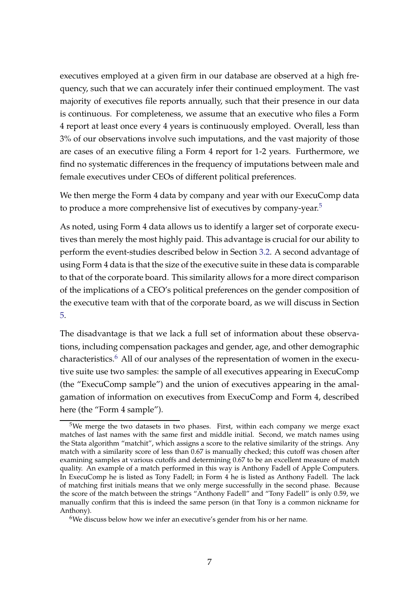executives employed at a given firm in our database are observed at a high frequency, such that we can accurately infer their continued employment. The vast majority of executives file reports annually, such that their presence in our data is continuous. For completeness, we assume that an executive who files a Form 4 report at least once every 4 years is continuously employed. Overall, less than 3% of our observations involve such imputations, and the vast majority of those are cases of an executive filing a Form 4 report for 1-2 years. Furthermore, we find no systematic differences in the frequency of imputations between male and female executives under CEOs of different political preferences.

We then merge the Form 4 data by company and year with our ExecuComp data to produce a more comprehensive list of executives by company-year.<sup>[5](#page-8-0)</sup>

As noted, using Form 4 data allows us to identify a larger set of corporate executives than merely the most highly paid. This advantage is crucial for our ability to perform the event-studies described below in Section [3.2.](#page-15-0) A second advantage of using Form 4 data is that the size of the executive suite in these data is comparable to that of the corporate board. This similarity allows for a more direct comparison of the implications of a CEO's political preferences on the gender composition of the executive team with that of the corporate board, as we will discuss in Section [5.](#page-24-0)

The disadvantage is that we lack a full set of information about these observations, including compensation packages and gender, age, and other demographic characteristics.[6](#page-8-1) All of our analyses of the representation of women in the executive suite use two samples: the sample of all executives appearing in ExecuComp (the "ExecuComp sample") and the union of executives appearing in the amalgamation of information on executives from ExecuComp and Form 4, described here (the "Form 4 sample").

<span id="page-8-0"></span><sup>&</sup>lt;sup>5</sup>We merge the two datasets in two phases. First, within each company we merge exact matches of last names with the same first and middle initial. Second, we match names using the Stata algorithm "matchit", which assigns a score to the relative similarity of the strings. Any match with a similarity score of less than 0.67 is manually checked; this cutoff was chosen after examining samples at various cutoffs and determining 0.67 to be an excellent measure of match quality. An example of a match performed in this way is Anthony Fadell of Apple Computers. In ExecuComp he is listed as Tony Fadell; in Form 4 he is listed as Anthony Fadell. The lack of matching first initials means that we only merge successfully in the second phase. Because the score of the match between the strings "Anthony Fadell" and "Tony Fadell" is only 0.59, we manually confirm that this is indeed the same person (in that Tony is a common nickname for Anthony).

<span id="page-8-1"></span><sup>&</sup>lt;sup>6</sup>We discuss below how we infer an executive's gender from his or her name.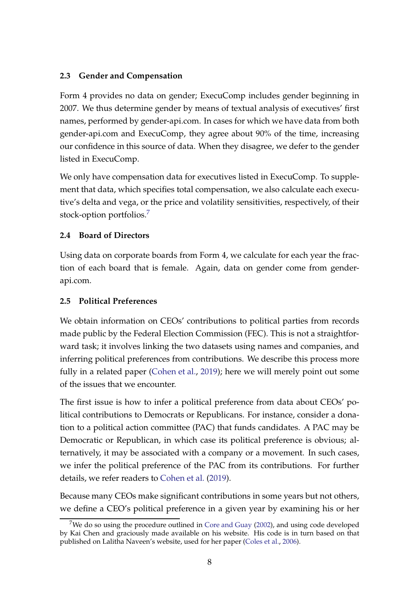#### <span id="page-9-0"></span>**2.3 Gender and Compensation**

Form 4 provides no data on gender; ExecuComp includes gender beginning in 2007. We thus determine gender by means of textual analysis of executives' first names, performed by gender-api.com. In cases for which we have data from both gender-api.com and ExecuComp, they agree about 90% of the time, increasing our confidence in this source of data. When they disagree, we defer to the gender listed in ExecuComp.

We only have compensation data for executives listed in ExecuComp. To supplement that data, which specifies total compensation, we also calculate each executive's delta and vega, or the price and volatility sensitivities, respectively, of their stock-option portfolios.[7](#page-9-3)

### <span id="page-9-1"></span>**2.4 Board of Directors**

Using data on corporate boards from Form 4, we calculate for each year the fraction of each board that is female. Again, data on gender come from genderapi.com.

### <span id="page-9-2"></span>**2.5 Political Preferences**

We obtain information on CEOs' contributions to political parties from records made public by the Federal Election Commission (FEC). This is not a straightforward task; it involves linking the two datasets using names and companies, and inferring political preferences from contributions. We describe this process more fully in a related paper [\(Cohen et al.](#page-27-0), [2019\)](#page-27-0); here we will merely point out some of the issues that we encounter.

The first issue is how to infer a political preference from data about CEOs' political contributions to Democrats or Republicans. For instance, consider a donation to a political action committee (PAC) that funds candidates. A PAC may be Democratic or Republican, in which case its political preference is obvious; alternatively, it may be associated with a company or a movement. In such cases, we infer the political preference of the PAC from its contributions. For further details, we refer readers to [Cohen et al.](#page-27-0) [\(2019](#page-27-0)).

Because many CEOs make significant contributions in some years but not others, we define a CEO's political preference in a given year by examining his or her

<span id="page-9-3"></span><sup>&</sup>lt;sup>7</sup>We do so using the procedure outlined in [Core and Guay](#page-27-11) [\(2002](#page-27-11)), and using code developed by Kai Chen and graciously made available on his website. His code is in turn based on that published on Lalitha Naveen's website, used for her paper [\(Coles et al.](#page-27-12), [2006](#page-27-12)).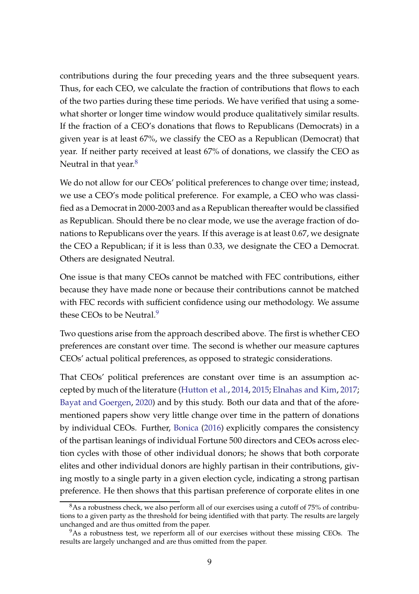contributions during the four preceding years and the three subsequent years. Thus, for each CEO, we calculate the fraction of contributions that flows to each of the two parties during these time periods. We have verified that using a somewhat shorter or longer time window would produce qualitatively similar results. If the fraction of a CEO's donations that flows to Republicans (Democrats) in a given year is at least 67%, we classify the CEO as a Republican (Democrat) that year. If neither party received at least 67% of donations, we classify the CEO as Neutral in that year. $8$ 

We do not allow for our CEOs' political preferences to change over time; instead, we use a CEO's mode political preference. For example, a CEO who was classified as a Democrat in 2000-2003 and as a Republican thereafter would be classified as Republican. Should there be no clear mode, we use the average fraction of donations to Republicans over the years. If this average is at least 0.67, we designate the CEO a Republican; if it is less than 0.33, we designate the CEO a Democrat. Others are designated Neutral.

One issue is that many CEOs cannot be matched with FEC contributions, either because they have made none or because their contributions cannot be matched with FEC records with sufficient confidence using our methodology. We assume these CEOs to be Neutral.<sup>[9](#page-10-1)</sup>

Two questions arise from the approach described above. The first is whether CEO preferences are constant over time. The second is whether our measure captures CEOs' actual political preferences, as opposed to strategic considerations.

That CEOs' political preferences are constant over time is an assumption accepted by much of the literature [\(Hutton et al.,](#page-28-6) [2014,](#page-28-6) [2015](#page-28-9); [Elnahas and Kim](#page-28-5), [2017](#page-28-5); [Bayat and Goergen](#page-27-8), [2020](#page-27-8)) and by this study. Both our data and that of the aforementioned papers show very little change over time in the pattern of donations by individual CEOs. Further, [Bonica](#page-27-6) [\(2016\)](#page-27-6) explicitly compares the consistency of the partisan leanings of individual Fortune 500 directors and CEOs across election cycles with those of other individual donors; he shows that both corporate elites and other individual donors are highly partisan in their contributions, giving mostly to a single party in a given election cycle, indicating a strong partisan preference. He then shows that this partisan preference of corporate elites in one

<span id="page-10-0"></span> $8$ As a robustness check, we also perform all of our exercises using a cutoff of 75% of contributions to a given party as the threshold for being identified with that party. The results are largely unchanged and are thus omitted from the paper.

<span id="page-10-1"></span><sup>&</sup>lt;sup>9</sup>As a robustness test, we reperform all of our exercises without these missing CEOs. The results are largely unchanged and are thus omitted from the paper.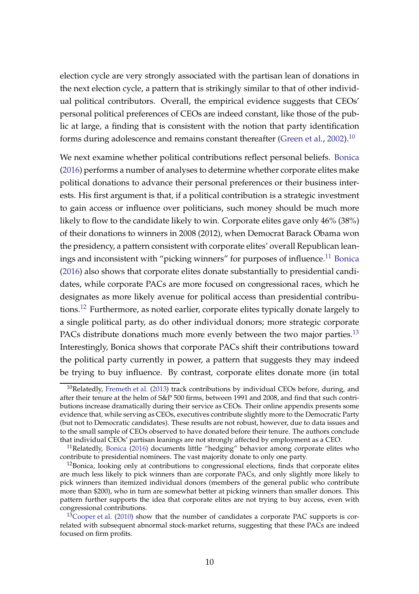election cycle are very strongly associated with the partisan lean of donations in the next election cycle, a pattern that is strikingly similar to that of other individual political contributors. Overall, the empirical evidence suggests that CEOs' personal political preferences of CEOs are indeed constant, like those of the public at large, a finding that is consistent with the notion that party identification forms during adolescence and remains constant thereafter [\(Green et al.,](#page-28-11) [2002\)](#page-28-11).<sup>[10](#page-11-0)</sup>

We next examine whether political contributions reflect personal beliefs. [Bonica](#page-27-6) [\(2016\)](#page-27-6) performs a number of analyses to determine whether corporate elites make political donations to advance their personal preferences or their business interests. His first argument is that, if a political contribution is a strategic investment to gain access or influence over politicians, such money should be much more likely to flow to the candidate likely to win. Corporate elites gave only 46% (38%) of their donations to winners in 2008 (2012), when Democrat Barack Obama won the presidency, a pattern consistent with corporate elites' overall Republican lean-ings and inconsistent with "picking winners" for purposes of influence.<sup>[11](#page-11-1)</sup> [Bonica](#page-27-6) [\(2016\)](#page-27-6) also shows that corporate elites donate substantially to presidential candidates, while corporate PACs are more focused on congressional races, which he designates as more likely avenue for political access than presidential contributions.[12](#page-11-2) Furthermore, as noted earlier, corporate elites typically donate largely to a single political party, as do other individual donors; more strategic corporate PACs distribute donations much more evenly between the two major parties.<sup>[13](#page-11-3)</sup> Interestingly, Bonica shows that corporate PACs shift their contributions toward the political party currently in power, a pattern that suggests they may indeed be trying to buy influence. By contrast, corporate elites donate more (in total

<span id="page-11-0"></span> $10$ Relatedly, [Fremeth et al.](#page-28-12) [\(2013\)](#page-28-12) track contributions by individual CEOs before, during, and after their tenure at the helm of S&P 500 firms, between 1991 and 2008, and find that such contributions increase dramatically during their service as CEOs. Their online appendix presents some evidence that, while serving as CEOs, executives contribute slightly more to the Democratic Party (but not to Democratic candidates). These results are not robust, however, due to data issues and to the small sample of CEOs observed to have donated before their tenure. The authors conclude that individual CEOs' partisan leanings are not strongly affected by employment as a CEO.

<span id="page-11-1"></span> $11$ Relatedly, [Bonica](#page-27-6) [\(2016](#page-27-6)) documents little "hedging" behavior among corporate elites who contribute to presidential nominees. The vast majority donate to only one party.

<span id="page-11-2"></span> $12$ Bonica, looking only at contributions to congressional elections, finds that corporate elites are much less likely to pick winners than are corporate PACs, and only slightly more likely to pick winners than itemized individual donors (members of the general public who contribute more than \$200), who in turn are somewhat better at picking winners than smaller donors. This pattern further supports the idea that corporate elites are not trying to buy access, even with congressional contributions.

<span id="page-11-3"></span> $13$ [Cooper et al.](#page-27-13) [\(2010](#page-27-13)) show that the number of candidates a corporate PAC supports is correlated with subsequent abnormal stock-market returns, suggesting that these PACs are indeed focused on firm profits.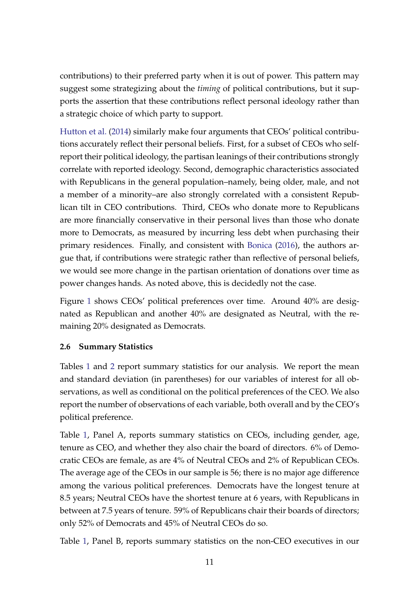contributions) to their preferred party when it is out of power. This pattern may suggest some strategizing about the *timing* of political contributions, but it supports the assertion that these contributions reflect personal ideology rather than a strategic choice of which party to support.

[Hutton et al.](#page-28-6) [\(2014](#page-28-6)) similarly make four arguments that CEOs' political contributions accurately reflect their personal beliefs. First, for a subset of CEOs who selfreport their political ideology, the partisan leanings of their contributions strongly correlate with reported ideology. Second, demographic characteristics associated with Republicans in the general population–namely, being older, male, and not a member of a minority–are also strongly correlated with a consistent Republican tilt in CEO contributions. Third, CEOs who donate more to Republicans are more financially conservative in their personal lives than those who donate more to Democrats, as measured by incurring less debt when purchasing their primary residences. Finally, and consistent with [Bonica](#page-27-6) [\(2016\)](#page-27-6), the authors argue that, if contributions were strategic rather than reflective of personal beliefs, we would see more change in the partisan orientation of donations over time as power changes hands. As noted above, this is decidedly not the case.

Figure [1](#page-29-0) shows CEOs' political preferences over time. Around 40% are designated as Republican and another 40% are designated as Neutral, with the remaining 20% designated as Democrats.

### <span id="page-12-0"></span>**2.6 Summary Statistics**

Tables [1](#page-32-0) and [2](#page-34-0) report summary statistics for our analysis. We report the mean and standard deviation (in parentheses) for our variables of interest for all observations, as well as conditional on the political preferences of the CEO. We also report the number of observations of each variable, both overall and by the CEO's political preference.

Table [1,](#page-32-0) Panel A, reports summary statistics on CEOs, including gender, age, tenure as CEO, and whether they also chair the board of directors. 6% of Democratic CEOs are female, as are 4% of Neutral CEOs and 2% of Republican CEOs. The average age of the CEOs in our sample is 56; there is no major age difference among the various political preferences. Democrats have the longest tenure at 8.5 years; Neutral CEOs have the shortest tenure at 6 years, with Republicans in between at 7.5 years of tenure. 59% of Republicans chair their boards of directors; only 52% of Democrats and 45% of Neutral CEOs do so.

Table [1,](#page-32-0) Panel B, reports summary statistics on the non-CEO executives in our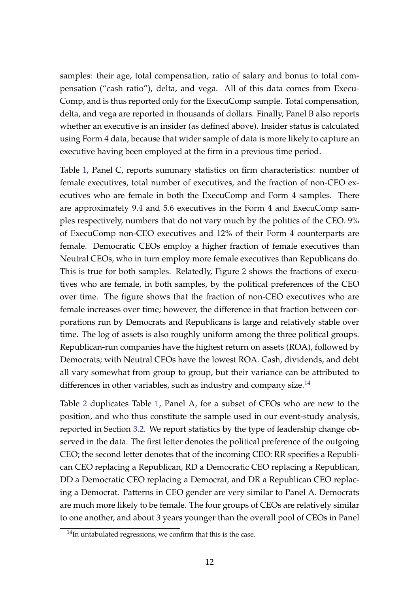samples: their age, total compensation, ratio of salary and bonus to total compensation ("cash ratio"), delta, and vega. All of this data comes from Execu-Comp, and is thus reported only for the ExecuComp sample. Total compensation, delta, and vega are reported in thousands of dollars. Finally, Panel B also reports whether an executive is an insider (as defined above). Insider status is calculated using Form 4 data, because that wider sample of data is more likely to capture an executive having been employed at the firm in a previous time period.

Table [1,](#page-32-0) Panel C, reports summary statistics on firm characteristics: number of female executives, total number of executives, and the fraction of non-CEO executives who are female in both the ExecuComp and Form 4 samples. There are approximately 9.4 and 5.6 executives in the Form 4 and ExecuComp samples respectively, numbers that do not vary much by the politics of the CEO. 9% of ExecuComp non-CEO executives and 12% of their Form 4 counterparts are female. Democratic CEOs employ a higher fraction of female executives than Neutral CEOs, who in turn employ more female executives than Republicans do. This is true for both samples. Relatedly, Figure [2](#page-30-0) shows the fractions of executives who are female, in both samples, by the political preferences of the CEO over time. The figure shows that the fraction of non-CEO executives who are female increases over time; however, the difference in that fraction between corporations run by Democrats and Republicans is large and relatively stable over time. The log of assets is also roughly uniform among the three political groups. Republican-run companies have the highest return on assets (ROA), followed by Democrats; with Neutral CEOs have the lowest ROA. Cash, dividends, and debt all vary somewhat from group to group, but their variance can be attributed to differences in other variables, such as industry and company size.<sup>[14](#page-13-0)</sup>

Table [2](#page-34-0) duplicates Table [1,](#page-32-0) Panel A, for a subset of CEOs who are new to the position, and who thus constitute the sample used in our event-study analysis, reported in Section [3.2.](#page-15-0) We report statistics by the type of leadership change observed in the data. The first letter denotes the political preference of the outgoing CEO; the second letter denotes that of the incoming CEO: RR specifies a Republican CEO replacing a Republican, RD a Democratic CEO replacing a Republican, DD a Democratic CEO replacing a Democrat, and DR a Republican CEO replacing a Democrat. Patterns in CEO gender are very similar to Panel A. Democrats are much more likely to be female. The four groups of CEOs are relatively similar to one another, and about 3 years younger than the overall pool of CEOs in Panel

<span id="page-13-0"></span> $14$ In untabulated regressions, we confirm that this is the case.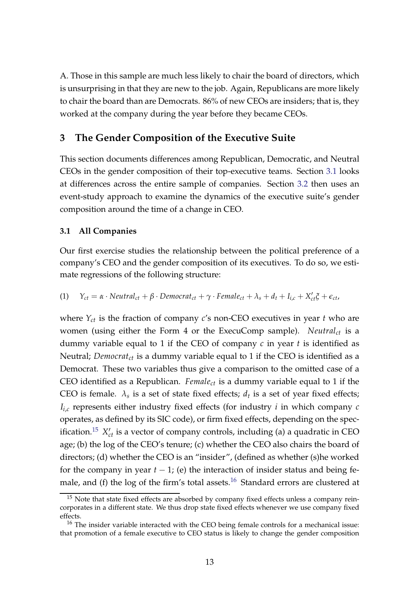A. Those in this sample are much less likely to chair the board of directors, which is unsurprising in that they are new to the job. Again, Republicans are more likely to chair the board than are Democrats. 86% of new CEOs are insiders; that is, they worked at the company during the year before they became CEOs.

### <span id="page-14-0"></span>**3 The Gender Composition of the Executive Suite**

This section documents differences among Republican, Democratic, and Neutral CEOs in the gender composition of their top-executive teams. Section [3.1](#page-14-1) looks at differences across the entire sample of companies. Section [3.2](#page-15-0) then uses an event-study approach to examine the dynamics of the executive suite's gender composition around the time of a change in CEO.

#### <span id="page-14-1"></span>**3.1 All Companies**

Our first exercise studies the relationship between the political preference of a company's CEO and the gender composition of its executives. To do so, we estimate regressions of the following structure:

<span id="page-14-4"></span>(1)  $Y_{ct} = \alpha \cdot Neutral_{ct} + \beta \cdot Democrat_{ct} + \gamma \cdot Female_{ct} + \lambda_s + d_t + I_{i,c} + X_{ct}'\xi + \epsilon_{ct}$ 

where *Yct* is the fraction of company *c*'s non-CEO executives in year *t* who are women (using either the Form 4 or the ExecuComp sample). *Neutralct* is a dummy variable equal to 1 if the CEO of company *c* in year *t* is identified as Neutral; *Democratct* is a dummy variable equal to 1 if the CEO is identified as a Democrat. These two variables thus give a comparison to the omitted case of a CEO identified as a Republican. *Femalect* is a dummy variable equal to 1 if the CEO is female.  $\lambda_s$  is a set of state fixed effects;  $d_t$  is a set of year fixed effects;  $I_{i,c}$  represents either industry fixed effects (for industry *i* in which company *c* operates, as defined by its SIC code), or firm fixed effects, depending on the specification. $^{15}$  $^{15}$  $^{15}$   $X_{ct}'$  is a vector of company controls, including (a) a quadratic in CEO age; (b) the log of the CEO's tenure; (c) whether the CEO also chairs the board of directors; (d) whether the CEO is an "insider", (defined as whether (s)he worked for the company in year  $t - 1$ ; (e) the interaction of insider status and being fe-male, and (f) the log of the firm's total assets.<sup>[16](#page-14-3)</sup> Standard errors are clustered at

<span id="page-14-2"></span> $15$  Note that state fixed effects are absorbed by company fixed effects unless a company reincorporates in a different state. We thus drop state fixed effects whenever we use company fixed effects.

<span id="page-14-3"></span><sup>&</sup>lt;sup>16</sup> The insider variable interacted with the CEO being female controls for a mechanical issue: that promotion of a female executive to CEO status is likely to change the gender composition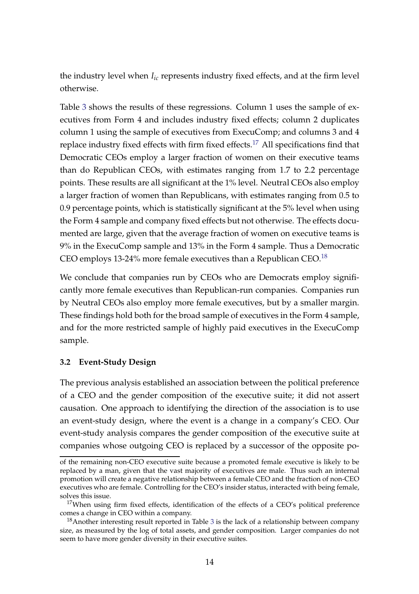the industry level when *Iic* represents industry fixed effects, and at the firm level otherwise.

Table [3](#page-35-0) shows the results of these regressions. Column 1 uses the sample of executives from Form 4 and includes industry fixed effects; column 2 duplicates column 1 using the sample of executives from ExecuComp; and columns 3 and 4 replace industry fixed effects with firm fixed effects.<sup>[17](#page-15-1)</sup> All specifications find that Democratic CEOs employ a larger fraction of women on their executive teams than do Republican CEOs, with estimates ranging from 1.7 to 2.2 percentage points. These results are all significant at the 1% level. Neutral CEOs also employ a larger fraction of women than Republicans, with estimates ranging from 0.5 to 0.9 percentage points, which is statistically significant at the 5% level when using the Form 4 sample and company fixed effects but not otherwise. The effects documented are large, given that the average fraction of women on executive teams is 9% in the ExecuComp sample and 13% in the Form 4 sample. Thus a Democratic CEO employs 13-24% more female executives than a Republican CEO.<sup>[18](#page-15-2)</sup>

We conclude that companies run by CEOs who are Democrats employ significantly more female executives than Republican-run companies. Companies run by Neutral CEOs also employ more female executives, but by a smaller margin. These findings hold both for the broad sample of executives in the Form 4 sample, and for the more restricted sample of highly paid executives in the ExecuComp sample.

#### <span id="page-15-0"></span>**3.2 Event-Study Design**

The previous analysis established an association between the political preference of a CEO and the gender composition of the executive suite; it did not assert causation. One approach to identifying the direction of the association is to use an event-study design, where the event is a change in a company's CEO. Our event-study analysis compares the gender composition of the executive suite at companies whose outgoing CEO is replaced by a successor of the opposite po-

of the remaining non-CEO executive suite because a promoted female executive is likely to be replaced by a man, given that the vast majority of executives are male. Thus such an internal promotion will create a negative relationship between a female CEO and the fraction of non-CEO executives who are female. Controlling for the CEO's insider status, interacted with being female, solves this issue.

<span id="page-15-1"></span> $17$ When using firm fixed effects, identification of the effects of a CEO's political preference comes a change in CEO within a company.

<span id="page-15-2"></span><sup>&</sup>lt;sup>18</sup>Another interesting result reported in Table [3](#page-35-0) is the lack of a relationship between company size, as measured by the log of total assets, and gender composition. Larger companies do not seem to have more gender diversity in their executive suites.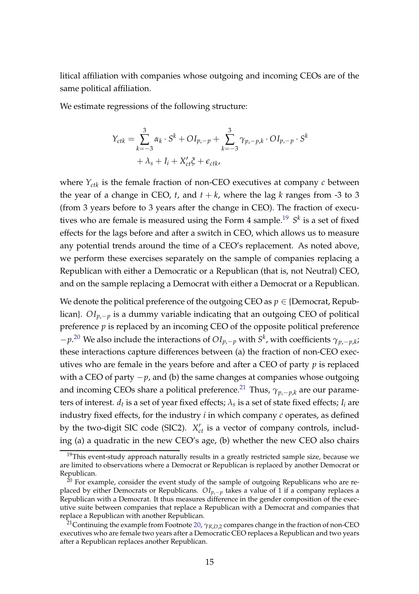litical affiliation with companies whose outgoing and incoming CEOs are of the same political affiliation.

We estimate regressions of the following structure:

$$
Y_{ctk} = \sum_{k=-3}^{3} \alpha_k \cdot S^k + O I_{p,-p} + \sum_{k=-3}^{3} \gamma_{p,-p,k} \cdot O I_{p,-p} \cdot S^k
$$

$$
+ \lambda_s + I_i + X_{ct}' \xi + \epsilon_{ctk},
$$

where  $Y_{ctk}$  is the female fraction of non-CEO executives at company  $c$  between the year of a change in CEO,  $t$ , and  $t + k$ , where the lag  $k$  ranges from -3 to 3 (from 3 years before to 3 years after the change in CEO). The fraction of execu-tives who are female is measured using the Form 4 sample.<sup>[19](#page-16-0)</sup> S<sup>k</sup> is a set of fixed effects for the lags before and after a switch in CEO, which allows us to measure any potential trends around the time of a CEO's replacement. As noted above, we perform these exercises separately on the sample of companies replacing a Republican with either a Democratic or a Republican (that is, not Neutral) CEO, and on the sample replacing a Democrat with either a Democrat or a Republican.

We denote the political preference of the outgoing CEO as  $p \in \{Democrat, Repub$ lican}. *OIp*,−*<sup>p</sup>* is a dummy variable indicating that an outgoing CEO of political preference *p* is replaced by an incoming CEO of the opposite political preference −*p*. [20](#page-16-1) We also include the interactions of *OIp*,−*<sup>p</sup>* with *S k* , with coefficients *γp*,−*p*,*<sup>k</sup>* ; these interactions capture differences between (a) the fraction of non-CEO executives who are female in the years before and after a CEO of party *p* is replaced with a CEO of party −*p*, and (b) the same changes at companies whose outgoing and incoming CEOs share a political preference.<sup>[21](#page-16-2)</sup> Thus,  $\gamma_{p,-p,k}$  are our parameters of interest.  $d_t$  is a set of year fixed effects;  $\lambda_s$  is a set of state fixed effects;  $I_i$  are industry fixed effects, for the industry *i* in which company *c* operates, as defined by the two-digit SIC code (SIC2).  $X'_{ct}$  is a vector of company controls, including (a) a quadratic in the new CEO's age, (b) whether the new CEO also chairs

<span id="page-16-0"></span> $19$ This event-study approach naturally results in a greatly restricted sample size, because we are limited to observations where a Democrat or Republican is replaced by another Democrat or Republican.

<span id="page-16-1"></span> $^{20}$  For example, consider the event study of the sample of outgoing Republicans who are replaced by either Democrats or Republicans. *OIp*,−*p* takes a value of 1 if a company replaces a Republican with a Democrat. It thus measures difference in the gender composition of the executive suite between companies that replace a Republican with a Democrat and companies that replace a Republican with another Republican.

<span id="page-16-2"></span><sup>21</sup>Continuing the example from Footnote [20,](#page-16-1) *γR*,*D*,2 compares change in the fraction of non-CEO executives who are female two years after a Democratic CEO replaces a Republican and two years after a Republican replaces another Republican.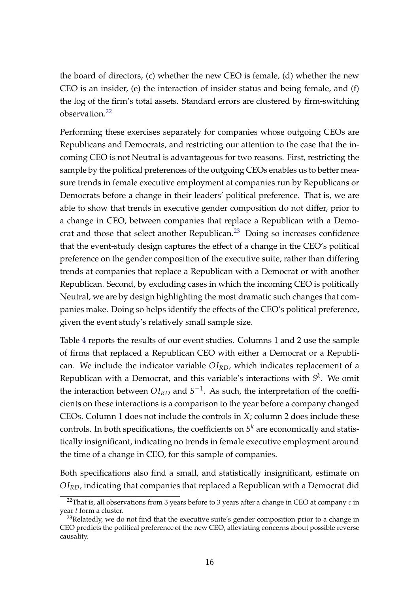the board of directors, (c) whether the new CEO is female, (d) whether the new CEO is an insider, (e) the interaction of insider status and being female, and (f) the log of the firm's total assets. Standard errors are clustered by firm-switching  $\alpha$ bservation<sup>[22](#page-17-0)</sup>

Performing these exercises separately for companies whose outgoing CEOs are Republicans and Democrats, and restricting our attention to the case that the incoming CEO is not Neutral is advantageous for two reasons. First, restricting the sample by the political preferences of the outgoing CEOs enables us to better measure trends in female executive employment at companies run by Republicans or Democrats before a change in their leaders' political preference. That is, we are able to show that trends in executive gender composition do not differ, prior to a change in CEO, between companies that replace a Republican with a Democrat and those that select another Republican. $^{23}$  $^{23}$  $^{23}$  Doing so increases confidence that the event-study design captures the effect of a change in the CEO's political preference on the gender composition of the executive suite, rather than differing trends at companies that replace a Republican with a Democrat or with another Republican. Second, by excluding cases in which the incoming CEO is politically Neutral, we are by design highlighting the most dramatic such changes that companies make. Doing so helps identify the effects of the CEO's political preference, given the event study's relatively small sample size.

Table [4](#page-36-0) reports the results of our event studies. Columns 1 and 2 use the sample of firms that replaced a Republican CEO with either a Democrat or a Republican. We include the indicator variable *OIRD*, which indicates replacement of a Republican with a Democrat, and this variable's interactions with  $S<sup>k</sup>$ . We omit the interaction between  $OI_{RD}$  and  $S^{-1}$ . As such, the interpretation of the coefficients on these interactions is a comparison to the year before a company changed CEOs. Column 1 does not include the controls in *X*; column 2 does include these controls. In both specifications, the coefficients on  $S<sup>k</sup>$  are economically and statistically insignificant, indicating no trends in female executive employment around the time of a change in CEO, for this sample of companies.

Both specifications also find a small, and statistically insignificant, estimate on *OIRD*, indicating that companies that replaced a Republican with a Democrat did

<span id="page-17-0"></span><sup>22</sup>That is, all observations from 3 years before to 3 years after a change in CEO at company *c* in year *t* form a cluster.

<span id="page-17-1"></span> $^{23}$ Relatedly, we do not find that the executive suite's gender composition prior to a change in CEO predicts the political preference of the new CEO, alleviating concerns about possible reverse causality.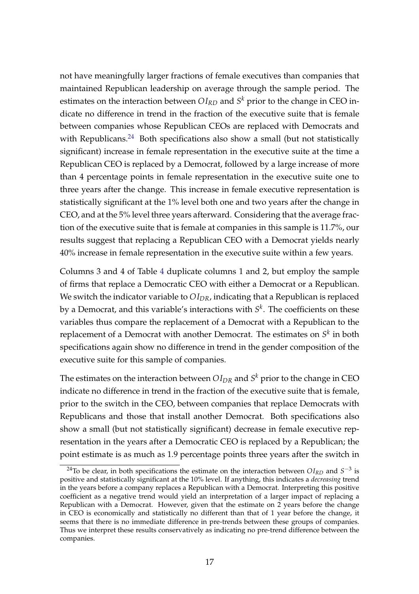not have meaningfully larger fractions of female executives than companies that maintained Republican leadership on average through the sample period. The estimates on the interaction between  $OI_{RD}$  and  $S^k$  prior to the change in CEO indicate no difference in trend in the fraction of the executive suite that is female between companies whose Republican CEOs are replaced with Democrats and with Republicans. $24$  Both specifications also show a small (but not statistically significant) increase in female representation in the executive suite at the time a Republican CEO is replaced by a Democrat, followed by a large increase of more than 4 percentage points in female representation in the executive suite one to three years after the change. This increase in female executive representation is statistically significant at the 1% level both one and two years after the change in CEO, and at the 5% level three years afterward. Considering that the average fraction of the executive suite that is female at companies in this sample is 11.7%, our results suggest that replacing a Republican CEO with a Democrat yields nearly 40% increase in female representation in the executive suite within a few years.

Columns 3 and 4 of Table [4](#page-36-0) duplicate columns 1 and 2, but employ the sample of firms that replace a Democratic CEO with either a Democrat or a Republican. We switch the indicator variable to  $OI_{DR}$ , indicating that a Republican is replaced by a Democrat, and this variable's interactions with *S k* . The coefficients on these variables thus compare the replacement of a Democrat with a Republican to the replacement of a Democrat with another Democrat. The estimates on *S k* in both specifications again show no difference in trend in the gender composition of the executive suite for this sample of companies.

The estimates on the interaction between  $OI_{DR}$  and  $S^k$  prior to the change in CEO indicate no difference in trend in the fraction of the executive suite that is female, prior to the switch in the CEO, between companies that replace Democrats with Republicans and those that install another Democrat. Both specifications also show a small (but not statistically significant) decrease in female executive representation in the years after a Democratic CEO is replaced by a Republican; the point estimate is as much as 1.9 percentage points three years after the switch in

<span id="page-18-0"></span><sup>&</sup>lt;sup>24</sup>To be clear, in both specifications the estimate on the interaction between  $OI_{RD}$  and  $S^{-3}$  is positive and statistically significant at the 10% level. If anything, this indicates a *decreasing* trend in the years before a company replaces a Republican with a Democrat. Interpreting this positive coefficient as a negative trend would yield an interpretation of a larger impact of replacing a Republican with a Democrat. However, given that the estimate on 2 years before the change in CEO is economically and statistically no different than that of 1 year before the change, it seems that there is no immediate difference in pre-trends between these groups of companies. Thus we interpret these results conservatively as indicating no pre-trend difference between the companies.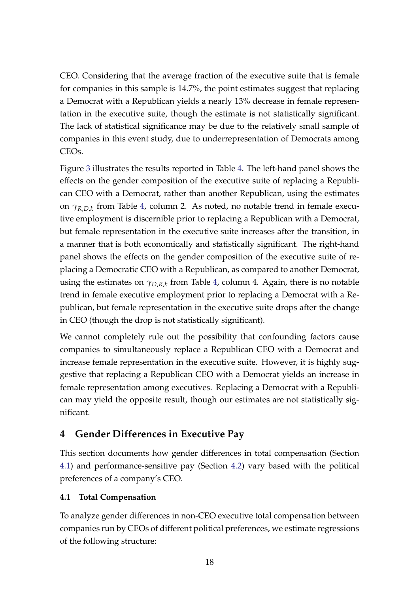CEO. Considering that the average fraction of the executive suite that is female for companies in this sample is 14.7%, the point estimates suggest that replacing a Democrat with a Republican yields a nearly 13% decrease in female representation in the executive suite, though the estimate is not statistically significant. The lack of statistical significance may be due to the relatively small sample of companies in this event study, due to underrepresentation of Democrats among CEOs.

Figure [3](#page-31-0) illustrates the results reported in Table [4.](#page-36-0) The left-hand panel shows the effects on the gender composition of the executive suite of replacing a Republican CEO with a Democrat, rather than another Republican, using the estimates on *γR*,*D*,*<sup>k</sup>* from Table [4,](#page-36-0) column 2. As noted, no notable trend in female executive employment is discernible prior to replacing a Republican with a Democrat, but female representation in the executive suite increases after the transition, in a manner that is both economically and statistically significant. The right-hand panel shows the effects on the gender composition of the executive suite of replacing a Democratic CEO with a Republican, as compared to another Democrat, using the estimates on *γD*,*R*,*<sup>k</sup>* from Table [4,](#page-36-0) column 4. Again, there is no notable trend in female executive employment prior to replacing a Democrat with a Republican, but female representation in the executive suite drops after the change in CEO (though the drop is not statistically significant).

We cannot completely rule out the possibility that confounding factors cause companies to simultaneously replace a Republican CEO with a Democrat and increase female representation in the executive suite. However, it is highly suggestive that replacing a Republican CEO with a Democrat yields an increase in female representation among executives. Replacing a Democrat with a Republican may yield the opposite result, though our estimates are not statistically significant.

# <span id="page-19-0"></span>**4 Gender Differences in Executive Pay**

This section documents how gender differences in total compensation (Section [4.1\)](#page-19-1) and performance-sensitive pay (Section [4.2\)](#page-22-0) vary based with the political preferences of a company's CEO.

### <span id="page-19-1"></span>**4.1 Total Compensation**

To analyze gender differences in non-CEO executive total compensation between companies run by CEOs of different political preferences, we estimate regressions of the following structure: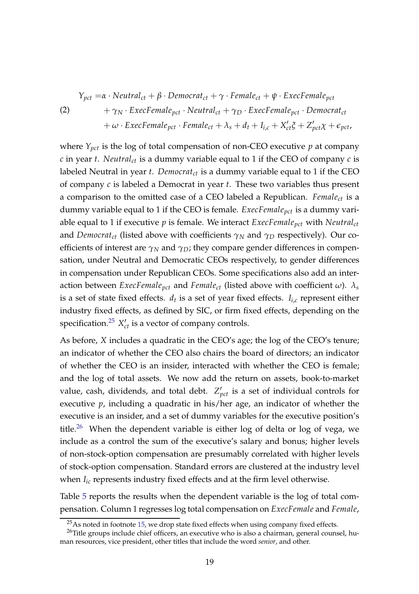<span id="page-20-2"></span>
$$
\begin{aligned}\nY_{pot} &= \alpha \cdot Neutral_{ct} + \beta \cdot Democrat_{ct} + \gamma \cdot Female_{ct} + \psi \cdot Excelemale_{pot} \\
&\quad + \gamma_N \cdot Excelemale_{pot} \cdot Neutral_{ct} + \gamma_D \cdot ExcelFemale_{pot} \cdot Democrat_{ct} \\
&\quad + \omega \cdot ExcelFemale_{pot} \cdot Female_{ct} + \lambda_s + d_t + I_{i,c} + X_{ct}'\zeta + Z_{pot}'\chi + \epsilon_{pot},\n\end{aligned}
$$

where  $Y_{\text{pct}}$  is the log of total compensation of non-CEO executive  $p$  at company *c* in year *t*. *Neutralct* is a dummy variable equal to 1 if the CEO of company *c* is labeled Neutral in year *t*. *Democratct* is a dummy variable equal to 1 if the CEO of company *c* is labeled a Democrat in year *t*. These two variables thus present a comparison to the omitted case of a CEO labeled a Republican. *Femalect* is a dummy variable equal to 1 if the CEO is female. *ExecFemalepct* is a dummy variable equal to 1 if executive *p* is female. We interact *ExecFemalepct* with *Neutralct* and *Democratct* (listed above with coefficients *γ<sup>N</sup>* and *γ<sup>D</sup>* respectively). Our coefficients of interest are  $\gamma_N$  and  $\gamma_D$ ; they compare gender differences in compensation, under Neutral and Democratic CEOs respectively, to gender differences in compensation under Republican CEOs. Some specifications also add an interaction between *ExecFemale*<sub>pct</sub> and *Female*<sub>ct</sub> (listed above with coefficient  $\omega$ ).  $\lambda_s$ is a set of state fixed effects. *d<sup>t</sup>* is a set of year fixed effects. *Ii*,*<sup>c</sup>* represent either industry fixed effects, as defined by SIC, or firm fixed effects, depending on the specification.<sup>[25](#page-20-0)</sup>  $X'_{ct}$  is a vector of company controls.

As before, *X* includes a quadratic in the CEO's age; the log of the CEO's tenure; an indicator of whether the CEO also chairs the board of directors; an indicator of whether the CEO is an insider, interacted with whether the CEO is female; and the log of total assets. We now add the return on assets, book-to-market value, cash, dividends, and total debt.  $Z'_{\text{pct}}$  is a set of individual controls for executive *p*, including a quadratic in his/her age, an indicator of whether the executive is an insider, and a set of dummy variables for the executive position's title.<sup>[26](#page-20-1)</sup> When the dependent variable is either log of delta or log of vega, we include as a control the sum of the executive's salary and bonus; higher levels of non-stock-option compensation are presumably correlated with higher levels of stock-option compensation. Standard errors are clustered at the industry level when *Iic* represents industry fixed effects and at the firm level otherwise.

Table [5](#page-37-0) reports the results when the dependent variable is the log of total compensation. Column 1 regresses log total compensation on *ExecFemale* and *Female*,

<span id="page-20-0"></span><sup>&</sup>lt;sup>25</sup>As noted in footnote [15,](#page-14-2) we drop state fixed effects when using company fixed effects.

<span id="page-20-1"></span><sup>&</sup>lt;sup>26</sup>Title groups include chief officers, an executive who is also a chairman, general counsel, human resources, vice president, other titles that include the word *senior*, and other.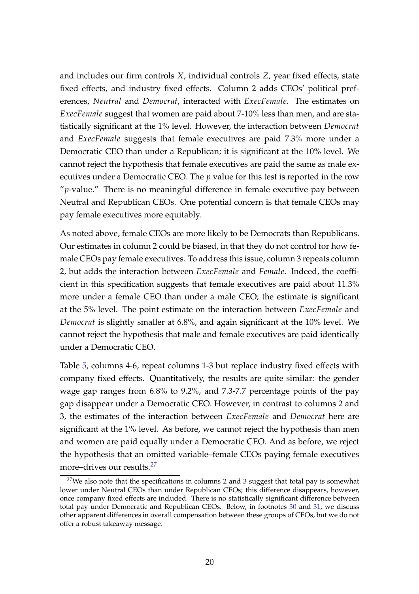and includes our firm controls *X*, individual controls *Z*, year fixed effects, state fixed effects, and industry fixed effects. Column 2 adds CEOs' political preferences, *Neutral* and *Democrat*, interacted with *ExecFemale*. The estimates on *ExecFemale* suggest that women are paid about 7-10% less than men, and are statistically significant at the 1% level. However, the interaction between *Democrat* and *ExecFemale* suggests that female executives are paid 7.3% more under a Democratic CEO than under a Republican; it is significant at the 10% level. We cannot reject the hypothesis that female executives are paid the same as male executives under a Democratic CEO. The *p* value for this test is reported in the row "*p*-value." There is no meaningful difference in female executive pay between Neutral and Republican CEOs. One potential concern is that female CEOs may pay female executives more equitably.

As noted above, female CEOs are more likely to be Democrats than Republicans. Our estimates in column 2 could be biased, in that they do not control for how female CEOs pay female executives. To address this issue, column 3 repeats column 2, but adds the interaction between *ExecFemale* and *Female*. Indeed, the coefficient in this specification suggests that female executives are paid about 11.3% more under a female CEO than under a male CEO; the estimate is significant at the 5% level. The point estimate on the interaction between *ExecFemale* and *Democrat* is slightly smaller at 6.8%, and again significant at the 10% level. We cannot reject the hypothesis that male and female executives are paid identically under a Democratic CEO.

Table [5,](#page-37-0) columns 4-6, repeat columns 1-3 but replace industry fixed effects with company fixed effects. Quantitatively, the results are quite similar: the gender wage gap ranges from 6.8% to 9.2%, and 7.3-7.7 percentage points of the pay gap disappear under a Democratic CEO. However, in contrast to columns 2 and 3, the estimates of the interaction between *ExecFemale* and *Democrat* here are significant at the 1% level. As before, we cannot reject the hypothesis than men and women are paid equally under a Democratic CEO. And as before, we reject the hypothesis that an omitted variable–female CEOs paying female executives more–drives our results.<sup>[27](#page-21-0)</sup>

<span id="page-21-0"></span> $27$ We also note that the specifications in columns 2 and 3 suggest that total pay is somewhat lower under Neutral CEOs than under Republican CEOs; this difference disappears, however, once company fixed effects are included. There is no statistically significant difference between total pay under Democratic and Republican CEOs. Below, in footnotes [30](#page-23-0) and [31,](#page-24-1) we discuss other apparent differences in overall compensation between these groups of CEOs, but we do not offer a robust takeaway message.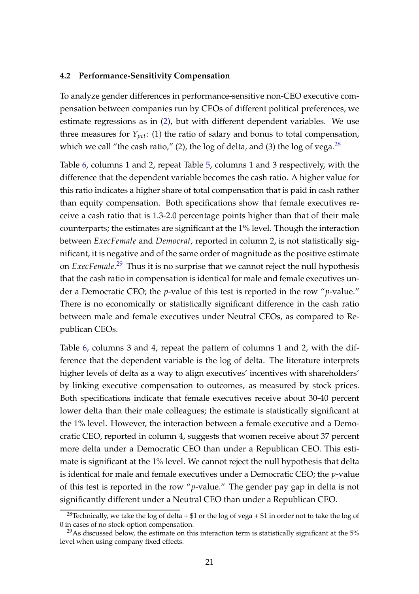#### <span id="page-22-0"></span>**4.2 Performance-Sensitivity Compensation**

To analyze gender differences in performance-sensitive non-CEO executive compensation between companies run by CEOs of different political preferences, we estimate regressions as in [\(2\)](#page-20-2), but with different dependent variables. We use three measures for  $Y_{\text{pct}}$ : (1) the ratio of salary and bonus to total compensation, which we call "the cash ratio," (2), the log of delta, and (3) the log of vega.<sup>[28](#page-22-1)</sup>

Table [6,](#page-38-0) columns 1 and 2, repeat Table [5,](#page-37-0) columns 1 and 3 respectively, with the difference that the dependent variable becomes the cash ratio. A higher value for this ratio indicates a higher share of total compensation that is paid in cash rather than equity compensation. Both specifications show that female executives receive a cash ratio that is 1.3-2.0 percentage points higher than that of their male counterparts; the estimates are significant at the 1% level. Though the interaction between *ExecFemale* and *Democrat*, reported in column 2, is not statistically significant, it is negative and of the same order of magnitude as the positive estimate on *ExecFemale*. [29](#page-22-2) Thus it is no surprise that we cannot reject the null hypothesis that the cash ratio in compensation is identical for male and female executives under a Democratic CEO; the *p*-value of this test is reported in the row "*p*-value." There is no economically or statistically significant difference in the cash ratio between male and female executives under Neutral CEOs, as compared to Republican CEOs.

Table [6,](#page-38-0) columns 3 and 4, repeat the pattern of columns 1 and 2, with the difference that the dependent variable is the log of delta. The literature interprets higher levels of delta as a way to align executives' incentives with shareholders' by linking executive compensation to outcomes, as measured by stock prices. Both specifications indicate that female executives receive about 30-40 percent lower delta than their male colleagues; the estimate is statistically significant at the 1% level. However, the interaction between a female executive and a Democratic CEO, reported in column 4, suggests that women receive about 37 percent more delta under a Democratic CEO than under a Republican CEO. This estimate is significant at the 1% level. We cannot reject the null hypothesis that delta is identical for male and female executives under a Democratic CEO; the *p*-value of this test is reported in the row "*p*-value." The gender pay gap in delta is not significantly different under a Neutral CEO than under a Republican CEO.

<span id="page-22-1"></span><sup>&</sup>lt;sup>28</sup>Technically, we take the log of delta + \$1 or the log of vega + \$1 in order not to take the log of 0 in cases of no stock-option compensation.

<span id="page-22-2"></span> $^{29}$ As discussed below, the estimate on this interaction term is statistically significant at the 5% level when using company fixed effects.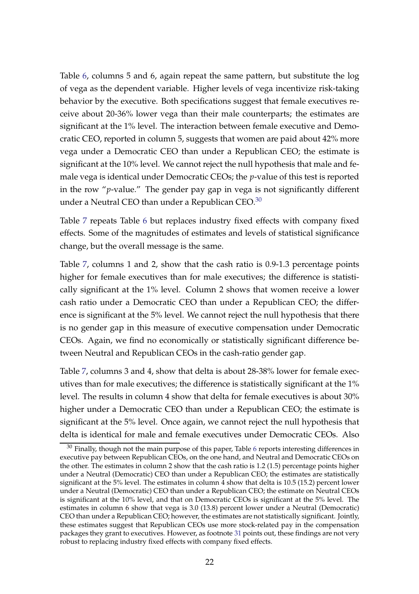Table [6,](#page-38-0) columns 5 and 6, again repeat the same pattern, but substitute the log of vega as the dependent variable. Higher levels of vega incentivize risk-taking behavior by the executive. Both specifications suggest that female executives receive about 20-36% lower vega than their male counterparts; the estimates are significant at the 1% level. The interaction between female executive and Democratic CEO, reported in column 5, suggests that women are paid about 42% more vega under a Democratic CEO than under a Republican CEO; the estimate is significant at the 10% level. We cannot reject the null hypothesis that male and female vega is identical under Democratic CEOs; the *p*-value of this test is reported in the row "*p*-value." The gender pay gap in vega is not significantly different under a Neutral CEO than under a Republican CEO. $30$ 

Table [7](#page-39-0) repeats Table [6](#page-38-0) but replaces industry fixed effects with company fixed effects. Some of the magnitudes of estimates and levels of statistical significance change, but the overall message is the same.

Table [7,](#page-39-0) columns 1 and 2, show that the cash ratio is 0.9-1.3 percentage points higher for female executives than for male executives; the difference is statistically significant at the 1% level. Column 2 shows that women receive a lower cash ratio under a Democratic CEO than under a Republican CEO; the difference is significant at the 5% level. We cannot reject the null hypothesis that there is no gender gap in this measure of executive compensation under Democratic CEOs. Again, we find no economically or statistically significant difference between Neutral and Republican CEOs in the cash-ratio gender gap.

Table [7,](#page-39-0) columns 3 and 4, show that delta is about 28-38% lower for female executives than for male executives; the difference is statistically significant at the 1% level. The results in column 4 show that delta for female executives is about 30% higher under a Democratic CEO than under a Republican CEO; the estimate is significant at the 5% level. Once again, we cannot reject the null hypothesis that delta is identical for male and female executives under Democratic CEOs. Also

<span id="page-23-0"></span> $30$  Finally, though not the main purpose of this paper, Table [6](#page-38-0) reports interesting differences in executive pay between Republican CEOs, on the one hand, and Neutral and Democratic CEOs on the other. The estimates in column 2 show that the cash ratio is 1.2 (1.5) percentage points higher under a Neutral (Democratic) CEO than under a Republican CEO; the estimates are statistically significant at the 5% level. The estimates in column 4 show that delta is 10.5 (15.2) percent lower under a Neutral (Democratic) CEO than under a Republican CEO; the estimate on Neutral CEOs is significant at the 10% level, and that on Democratic CEOs is significant at the 5% level. The estimates in column 6 show that vega is 3.0 (13.8) percent lower under a Neutral (Democratic) CEO than under a Republican CEO; however, the estimates are not statistically significant. Jointly, these estimates suggest that Republican CEOs use more stock-related pay in the compensation packages they grant to executives. However, as footnote [31](#page-24-1) points out, these findings are not very robust to replacing industry fixed effects with company fixed effects.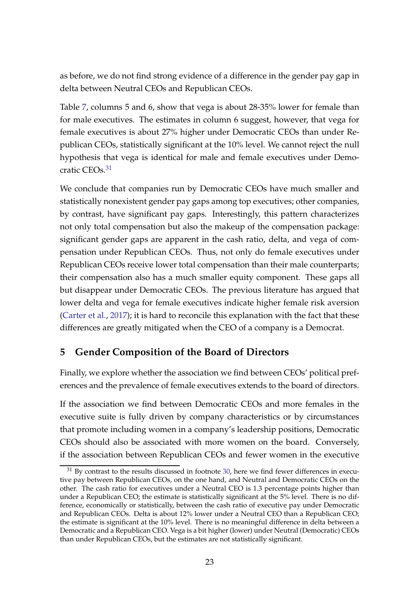as before, we do not find strong evidence of a difference in the gender pay gap in delta between Neutral CEOs and Republican CEOs.

Table [7,](#page-39-0) columns 5 and 6, show that vega is about 28-35% lower for female than for male executives. The estimates in column 6 suggest, however, that vega for female executives is about 27% higher under Democratic CEOs than under Republican CEOs, statistically significant at the 10% level. We cannot reject the null hypothesis that vega is identical for male and female executives under Demo-cratic CEOs.<sup>[31](#page-24-1)</sup>

We conclude that companies run by Democratic CEOs have much smaller and statistically nonexistent gender pay gaps among top executives; other companies, by contrast, have significant pay gaps. Interestingly, this pattern characterizes not only total compensation but also the makeup of the compensation package: significant gender gaps are apparent in the cash ratio, delta, and vega of compensation under Republican CEOs. Thus, not only do female executives under Republican CEOs receive lower total compensation than their male counterparts; their compensation also has a much smaller equity component. These gaps all but disappear under Democratic CEOs. The previous literature has argued that lower delta and vega for female executives indicate higher female risk aversion [\(Carter et al.,](#page-27-5) [2017](#page-27-5)); it is hard to reconcile this explanation with the fact that these differences are greatly mitigated when the CEO of a company is a Democrat.

# <span id="page-24-0"></span>**5 Gender Composition of the Board of Directors**

Finally, we explore whether the association we find between CEOs' political preferences and the prevalence of female executives extends to the board of directors.

If the association we find between Democratic CEOs and more females in the executive suite is fully driven by company characteristics or by circumstances that promote including women in a company's leadership positions, Democratic CEOs should also be associated with more women on the board. Conversely, if the association between Republican CEOs and fewer women in the executive

<span id="page-24-1"></span> $31$  By contrast to the results discussed in footnote [30,](#page-23-0) here we find fewer differences in executive pay between Republican CEOs, on the one hand, and Neutral and Democratic CEOs on the other. The cash ratio for executives under a Neutral CEO is 1.3 percentage points higher than under a Republican CEO; the estimate is statistically significant at the 5% level. There is no difference, economically or statistically, between the cash ratio of executive pay under Democratic and Republican CEOs. Delta is about 12% lower under a Neutral CEO than a Republican CEO; the estimate is significant at the 10% level. There is no meaningful difference in delta between a Democratic and a Republican CEO. Vega is a bit higher (lower) under Neutral (Democratic) CEOs than under Republican CEOs, but the estimates are not statistically significant.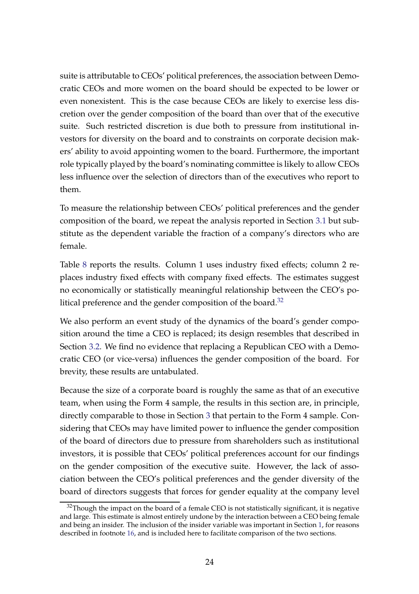suite is attributable to CEOs' political preferences, the association between Democratic CEOs and more women on the board should be expected to be lower or even nonexistent. This is the case because CEOs are likely to exercise less discretion over the gender composition of the board than over that of the executive suite. Such restricted discretion is due both to pressure from institutional investors for diversity on the board and to constraints on corporate decision makers' ability to avoid appointing women to the board. Furthermore, the important role typically played by the board's nominating committee is likely to allow CEOs less influence over the selection of directors than of the executives who report to them.

To measure the relationship between CEOs' political preferences and the gender composition of the board, we repeat the analysis reported in Section [3.1](#page-14-1) but substitute as the dependent variable the fraction of a company's directors who are female.

Table [8](#page-40-0) reports the results. Column 1 uses industry fixed effects; column 2 replaces industry fixed effects with company fixed effects. The estimates suggest no economically or statistically meaningful relationship between the CEO's political preference and the gender composition of the board. $32$ 

We also perform an event study of the dynamics of the board's gender composition around the time a CEO is replaced; its design resembles that described in Section [3.2.](#page-15-0) We find no evidence that replacing a Republican CEO with a Democratic CEO (or vice-versa) influences the gender composition of the board. For brevity, these results are untabulated.

Because the size of a corporate board is roughly the same as that of an executive team, when using the Form 4 sample, the results in this section are, in principle, directly comparable to those in Section [3](#page-14-0) that pertain to the Form 4 sample. Considering that CEOs may have limited power to influence the gender composition of the board of directors due to pressure from shareholders such as institutional investors, it is possible that CEOs' political preferences account for our findings on the gender composition of the executive suite. However, the lack of association between the CEO's political preferences and the gender diversity of the board of directors suggests that forces for gender equality at the company level

<span id="page-25-0"></span> $32$ Though the impact on the board of a female CEO is not statistically significant, it is negative and large. This estimate is almost entirely undone by the interaction between a CEO being female and being an insider. The inclusion of the insider variable was important in Section [1,](#page-14-4) for reasons described in footnote [16,](#page-14-3) and is included here to facilitate comparison of the two sections.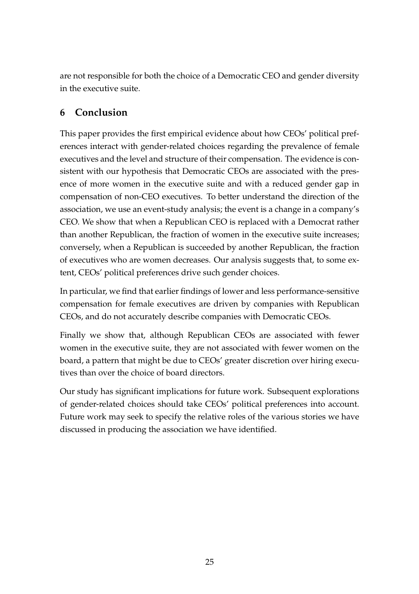<span id="page-26-0"></span>are not responsible for both the choice of a Democratic CEO and gender diversity in the executive suite.

# **6 Conclusion**

This paper provides the first empirical evidence about how CEOs' political preferences interact with gender-related choices regarding the prevalence of female executives and the level and structure of their compensation. The evidence is consistent with our hypothesis that Democratic CEOs are associated with the presence of more women in the executive suite and with a reduced gender gap in compensation of non-CEO executives. To better understand the direction of the association, we use an event-study analysis; the event is a change in a company's CEO. We show that when a Republican CEO is replaced with a Democrat rather than another Republican, the fraction of women in the executive suite increases; conversely, when a Republican is succeeded by another Republican, the fraction of executives who are women decreases. Our analysis suggests that, to some extent, CEOs' political preferences drive such gender choices.

In particular, we find that earlier findings of lower and less performance-sensitive compensation for female executives are driven by companies with Republican CEOs, and do not accurately describe companies with Democratic CEOs.

Finally we show that, although Republican CEOs are associated with fewer women in the executive suite, they are not associated with fewer women on the board, a pattern that might be due to CEOs' greater discretion over hiring executives than over the choice of board directors.

Our study has significant implications for future work. Subsequent explorations of gender-related choices should take CEOs' political preferences into account. Future work may seek to specify the relative roles of the various stories we have discussed in producing the association we have identified.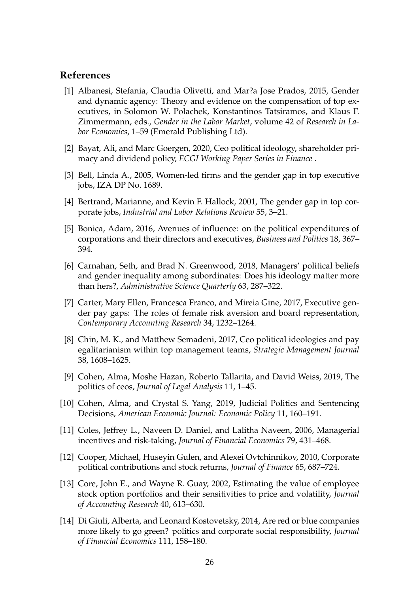#### **References**

- <span id="page-27-4"></span>[1] Albanesi, Stefania, Claudia Olivetti, and Mar?a Jose Prados, 2015, Gender and dynamic agency: Theory and evidence on the compensation of top executives, in Solomon W. Polachek, Konstantinos Tatsiramos, and Klaus F. Zimmermann, eds., *Gender in the Labor Market*, volume 42 of *Research in Labor Economics*, 1–59 (Emerald Publishing Ltd).
- <span id="page-27-8"></span>[2] Bayat, Ali, and Marc Goergen, 2020, Ceo political ideology, shareholder primacy and dividend policy, *ECGI Working Paper Series in Finance* .
- <span id="page-27-2"></span>[3] Bell, Linda A., 2005, Women-led firms and the gender gap in top executive jobs, IZA DP No. 1689.
- <span id="page-27-3"></span>[4] Bertrand, Marianne, and Kevin F. Hallock, 2001, The gender gap in top corporate jobs, *Industrial and Labor Relations Review* 55, 3–21.
- <span id="page-27-6"></span>[5] Bonica, Adam, 2016, Avenues of influence: on the political expenditures of corporations and their directors and executives, *Business and Politics* 18, 367– 394.
- <span id="page-27-10"></span>[6] Carnahan, Seth, and Brad N. Greenwood, 2018, Managers' political beliefs and gender inequality among subordinates: Does his ideology matter more than hers?, *Administrative Science Quarterly* 63, 287–322.
- <span id="page-27-5"></span>[7] Carter, Mary Ellen, Francesca Franco, and Mireia Gine, 2017, Executive gender pay gaps: The roles of female risk aversion and board representation, *Contemporary Accounting Research* 34, 1232–1264.
- <span id="page-27-7"></span>[8] Chin, M. K., and Matthew Semadeni, 2017, Ceo political ideologies and pay egalitarianism within top management teams, *Strategic Management Journal* 38, 1608–1625.
- <span id="page-27-0"></span>[9] Cohen, Alma, Moshe Hazan, Roberto Tallarita, and David Weiss, 2019, The politics of ceos, *Journal of Legal Analysis* 11, 1–45.
- <span id="page-27-9"></span>[10] Cohen, Alma, and Crystal S. Yang, 2019, Judicial Politics and Sentencing Decisions, *American Economic Journal: Economic Policy* 11, 160–191.
- <span id="page-27-12"></span>[11] Coles, Jeffrey L., Naveen D. Daniel, and Lalitha Naveen, 2006, Managerial incentives and risk-taking, *Journal of Financial Economics* 79, 431–468.
- <span id="page-27-13"></span>[12] Cooper, Michael, Huseyin Gulen, and Alexei Ovtchinnikov, 2010, Corporate political contributions and stock returns, *Journal of Finance* 65, 687–724.
- <span id="page-27-11"></span>[13] Core, John E., and Wayne R. Guay, 2002, Estimating the value of employee stock option portfolios and their sensitivities to price and volatility, *Journal of Accounting Research* 40, 613–630.
- <span id="page-27-1"></span>[14] Di Giuli, Alberta, and Leonard Kostovetsky, 2014, Are red or blue companies more likely to go green? politics and corporate social responsibility, *Journal of Financial Economics* 111, 158–180.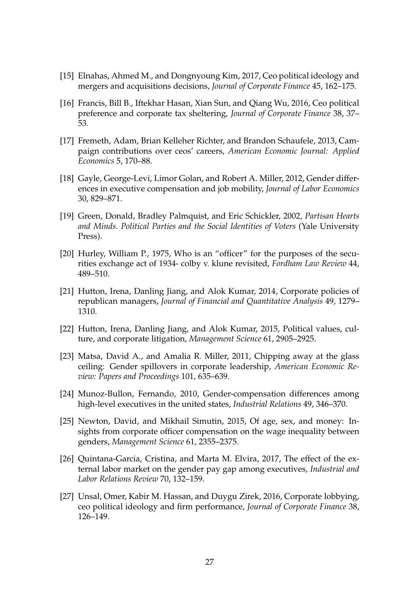- <span id="page-28-5"></span>[15] Elnahas, Ahmed M., and Dongnyoung Kim, 2017, Ceo political ideology and mergers and acquisitions decisions, *Journal of Corporate Finance* 45, 162–175.
- <span id="page-28-7"></span>[16] Francis, Bill B., Iftekhar Hasan, Xian Sun, and Qiang Wu, 2016, Ceo political preference and corporate tax sheltering, *Journal of Corporate Finance* 38, 37– 53.
- <span id="page-28-12"></span>[17] Fremeth, Adam, Brian Kelleher Richter, and Brandon Schaufele, 2013, Campaign contributions over ceos' careers, *American Economic Journal: Applied Economics* 5, 170–88.
- <span id="page-28-2"></span>[18] Gayle, George-Levi, Limor Golan, and Robert A. Miller, 2012, Gender differences in executive compensation and job mobility, *Journal of Labor Economics* 30, 829–871.
- <span id="page-28-11"></span>[19] Green, Donald, Bradley Palmquist, and Eric Schickler, 2002, *Partisan Hearts and Minds. Political Parties and the Social Identities of Voters* (Yale University Press).
- <span id="page-28-10"></span>[20] Hurley, William P., 1975, Who is an "officer" for the purposes of the securities exchange act of 1934- colby v. klune revisited, *Fordham Law Review* 44, 489–510.
- <span id="page-28-6"></span>[21] Hutton, Irena, Danling Jiang, and Alok Kumar, 2014, Corporate policies of republican managers, *Journal of Financial and Quantitative Analysis* 49, 1279– 1310.
- <span id="page-28-9"></span>[22] Hutton, Irena, Danling Jiang, and Alok Kumar, 2015, Political values, culture, and corporate litigation, *Management Science* 61, 2905–2925.
- <span id="page-28-0"></span>[23] Matsa, David A., and Amalia R. Miller, 2011, Chipping away at the glass ceiling: Gender spillovers in corporate leadership, *American Economic Review: Papers and Proceedings* 101, 635–639.
- <span id="page-28-1"></span>[24] Munoz-Bullon, Fernando, 2010, Gender-compensation differences among high-level executives in the united states, *Industrial Relations* 49, 346–370.
- <span id="page-28-3"></span>[25] Newton, David, and Mikhail Simutin, 2015, Of age, sex, and money: Insights from corporate officer compensation on the wage inequality between genders, *Management Science* 61, 2355–2375.
- <span id="page-28-4"></span>[26] Quintana-Garcia, Cristina, and Marta M. Elvira, 2017, The effect of the external labor market on the gender pay gap among executives, *Industrial and Labor Relations Review* 70, 132–159.
- <span id="page-28-8"></span>[27] Unsal, Omer, Kabir M. Hassan, and Duygu Zirek, 2016, Corporate lobbying, ceo political ideology and firm performance, *Journal of Corporate Finance* 38, 126–149.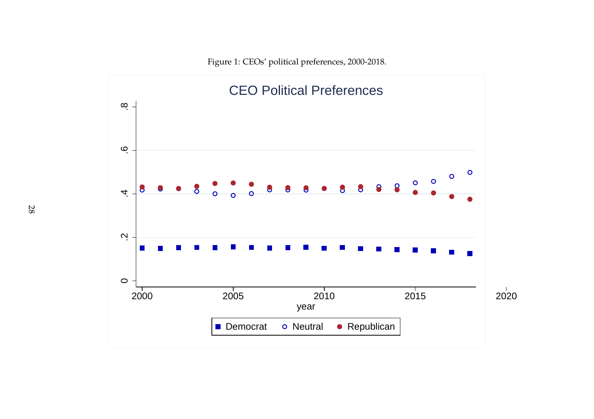<span id="page-29-0"></span>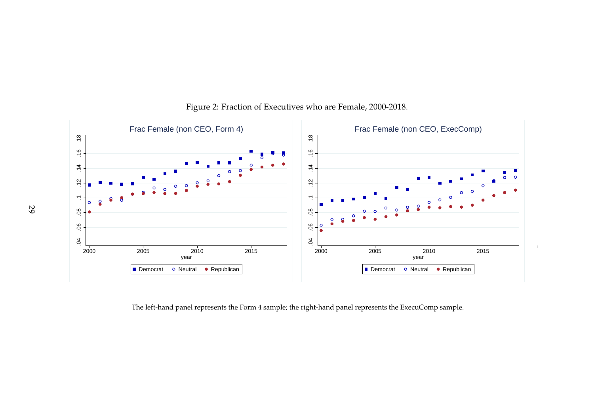

### Figure 2: Fraction of Executives who are Female, 2000-2018.

<span id="page-30-0"></span>The left-hand panel represents the Form <sup>4</sup> sample; the right-hand panel represents the ExecuComp sample.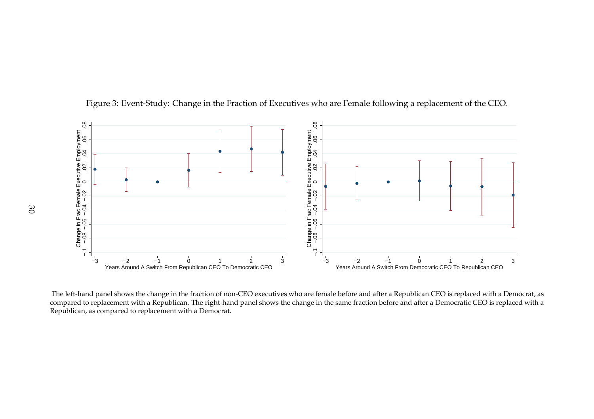

Figure 3: Event-Study: Change in the Fraction of Executives who are Female following <sup>a</sup> replacement of the CEO.

<span id="page-31-0"></span>The left-hand panel shows the change in the fraction of non-CEO executives who are female before and after <sup>a</sup> Republican CEO is replaced with <sup>a</sup> Democrat, as compared to replacement with <sup>a</sup> Republican. The right-hand panel shows the change in the same fraction before and after <sup>a</sup> Democratic CEO is replaced with <sup>a</sup>Republican, as compared to replacement with <sup>a</sup> Democrat.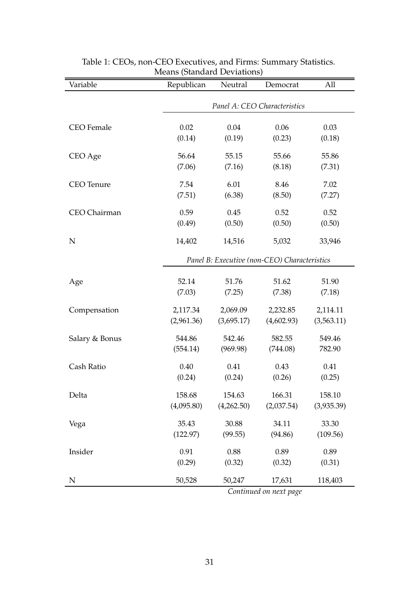<span id="page-32-0"></span>

| Variable          | Republican      | Neutral                                      | Democrat                     | All            |  |  |  |  |
|-------------------|-----------------|----------------------------------------------|------------------------------|----------------|--|--|--|--|
|                   |                 |                                              | Panel A: CEO Characteristics |                |  |  |  |  |
|                   |                 |                                              |                              |                |  |  |  |  |
| <b>CEO</b> Female | 0.02<br>(0.14)  | 0.04<br>(0.19)                               | 0.06<br>(0.23)               | 0.03<br>(0.18) |  |  |  |  |
|                   |                 |                                              |                              |                |  |  |  |  |
| CEO Age           | 56.64           | 55.15                                        | 55.66                        | 55.86          |  |  |  |  |
|                   | (7.06)          | (7.16)                                       | (8.18)                       | (7.31)         |  |  |  |  |
| <b>CEO</b> Tenure | 7.54            | 6.01                                         | 8.46                         | 7.02           |  |  |  |  |
|                   | (7.51)          | (6.38)                                       | (8.50)                       | (7.27)         |  |  |  |  |
| CEO Chairman      | 0.59            | 0.45                                         | 0.52                         | 0.52           |  |  |  |  |
|                   | (0.49)          | (0.50)                                       | (0.50)                       | (0.50)         |  |  |  |  |
| N                 | 14,402          | 14,516                                       | 5,032                        | 33,946         |  |  |  |  |
|                   |                 | Panel B: Executive (non-CEO) Characteristics |                              |                |  |  |  |  |
|                   |                 |                                              |                              |                |  |  |  |  |
| Age               | 52.14<br>(7.03) | 51.76                                        | 51.62                        | 51.90          |  |  |  |  |
|                   |                 | (7.25)                                       | (7.38)                       | (7.18)         |  |  |  |  |
| Compensation      | 2,117.34        | 2,069.09                                     | 2,232.85                     | 2,114.11       |  |  |  |  |
|                   | (2,961.36)      | (3,695.17)                                   | (4,602.93)                   | (3,563.11)     |  |  |  |  |
| Salary & Bonus    | 544.86          | 542.46                                       | 582.55                       | 549.46         |  |  |  |  |
|                   | (554.14)        | (969.98)                                     | (744.08)                     | 782.90         |  |  |  |  |
| Cash Ratio        | 0.40            | 0.41                                         | 0.43                         | 0.41           |  |  |  |  |
|                   | (0.24)          | (0.24)                                       | (0.26)                       | (0.25)         |  |  |  |  |
| Delta             | 158.68          | 154.63                                       | 166.31                       | 158.10         |  |  |  |  |
|                   | (4,095.80)      | (4,262.50)                                   | (2,037.54)                   | (3,935.39)     |  |  |  |  |
| Vega              | 35.43           | 30.88                                        | 34.11                        | 33.30          |  |  |  |  |
|                   | (122.97)        | (99.55)                                      | (94.86)                      | (109.56)       |  |  |  |  |
| Insider           | 0.91            | 0.88                                         | 0.89                         | 0.89           |  |  |  |  |
|                   | (0.29)          | (0.32)                                       | (0.32)                       | (0.31)         |  |  |  |  |
| N                 | 50,528          | 50,247                                       | 17,631                       | 118,403        |  |  |  |  |
|                   |                 |                                              | Continued on next page       |                |  |  |  |  |

#### Table 1: CEOs, non-CEO Executives, and Firms: Summary Statistics. Means (Standard Deviations)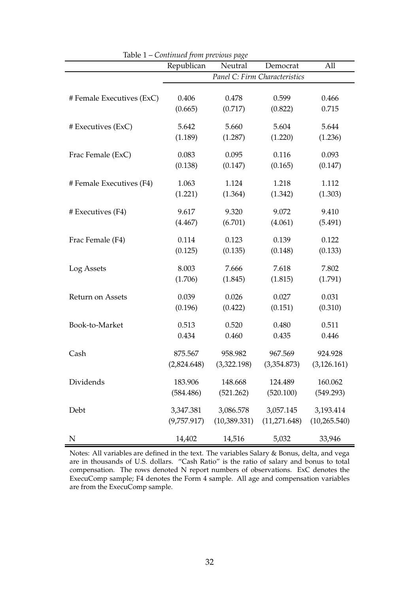|                           | Republican  | Neutral       | Democrat                      | All           |
|---------------------------|-------------|---------------|-------------------------------|---------------|
|                           |             |               | Panel C: Firm Characteristics |               |
| # Female Executives (ExC) | 0.406       | 0.478         | 0.599                         | 0.466         |
|                           | (0.665)     | (0.717)       | (0.822)                       | 0.715         |
| # Executives (ExC)        | 5.642       | 5.660         | 5.604                         | 5.644         |
|                           | (1.189)     | (1.287)       | (1.220)                       | (1.236)       |
| Frac Female (ExC)         | 0.083       | 0.095         | 0.116                         | 0.093         |
|                           | (0.138)     | (0.147)       | (0.165)                       | (0.147)       |
| # Female Executives (F4)  | 1.063       | 1.124         | 1.218                         | 1.112         |
|                           | (1.221)     | (1.364)       | (1.342)                       | (1.303)       |
| # Executives (F4)         | 9.617       | 9.320         | 9.072                         | 9.410         |
|                           | (4.467)     | (6.701)       | (4.061)                       | (5.491)       |
| Frac Female (F4)          | 0.114       | 0.123         | 0.139                         | 0.122         |
|                           | (0.125)     | (0.135)       | (0.148)                       | (0.133)       |
| Log Assets                | 8.003       | 7.666         | 7.618                         | 7.802         |
|                           | (1.706)     | (1.845)       | (1.815)                       | (1.791)       |
| <b>Return on Assets</b>   | 0.039       | 0.026         | 0.027                         | 0.031         |
|                           | (0.196)     | (0.422)       | (0.151)                       | (0.310)       |
| Book-to-Market            | 0.513       | 0.520         | 0.480                         | 0.511         |
|                           | 0.434       | 0.460         | 0.435                         | 0.446         |
| Cash                      | 875.567     | 958.982       | 967.569                       | 924.928       |
|                           | (2,824.648) | (3,322.198)   | (3,354.873)                   | (3, 126.161)  |
| Dividends                 | 183.906     | 148.668       | 124.489                       | 160.062       |
|                           | (584.486)   | (521.262)     | (520.100)                     | (549.293)     |
| Debt                      | 3,347.381   | 3,086.578     | 3,057.145                     | 3,193.414     |
|                           | (9,757.917) | (10, 389.331) | (11,271.648)                  | (10, 265.540) |
| N                         | 14,402      | 14,516        | 5,032                         | 33,946        |

Table 1 – *Continued from previous page*

Notes: All variables are defined in the text. The variables Salary & Bonus, delta, and vega are in thousands of U.S. dollars. "Cash Ratio" is the ratio of salary and bonus to total compensation. The rows denoted N report numbers of observations. ExC denotes the ExecuComp sample; F4 denotes the Form 4 sample. All age and compensation variables are from the ExecuComp sample.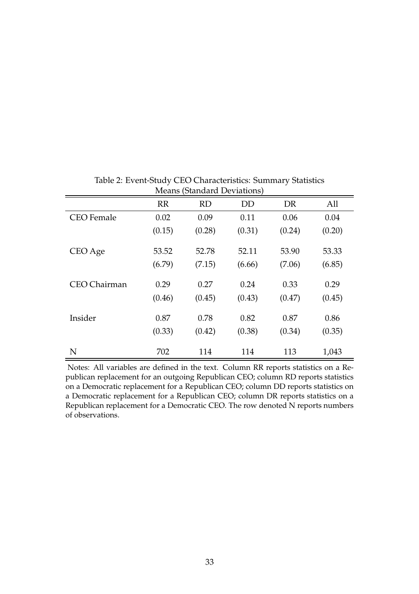<span id="page-34-0"></span>

|                   | <u>ivicalis</u> (bialiana Deviations) |           |           |        |        |  |  |  |
|-------------------|---------------------------------------|-----------|-----------|--------|--------|--|--|--|
|                   | RR                                    | <b>RD</b> | <b>DD</b> | DR     | All    |  |  |  |
| <b>CEO</b> Female | 0.02                                  | 0.09      | 0.11      | 0.06   | 0.04   |  |  |  |
|                   | (0.15)                                | (0.28)    | (0.31)    | (0.24) | (0.20) |  |  |  |
| CEO Age           | 53.52                                 | 52.78     | 52.11     | 53.90  | 53.33  |  |  |  |
|                   | (6.79)                                | (7.15)    | (6.66)    | (7.06) | (6.85) |  |  |  |
| CEO Chairman      | 0.29                                  | 0.27      | 0.24      | 0.33   | 0.29   |  |  |  |
|                   | (0.46)                                | (0.45)    | (0.43)    | (0.47) | (0.45) |  |  |  |
| Insider           | 0.87                                  | 0.78      | 0.82      | 0.87   | 0.86   |  |  |  |
|                   | (0.33)                                | (0.42)    | (0.38)    | (0.34) | (0.35) |  |  |  |
| N                 | 702                                   | 114       | 114       | 113    | 1,043  |  |  |  |

Table 2: Event-Study CEO Characteristics: Summary Statistics Means (Standard Deviations)

Notes: All variables are defined in the text. Column RR reports statistics on a Republican replacement for an outgoing Republican CEO; column RD reports statistics on a Democratic replacement for a Republican CEO; column DD reports statistics on a Democratic replacement for a Republican CEO; column DR reports statistics on a Republican replacement for a Democratic CEO. The row denoted N reports numbers of observations.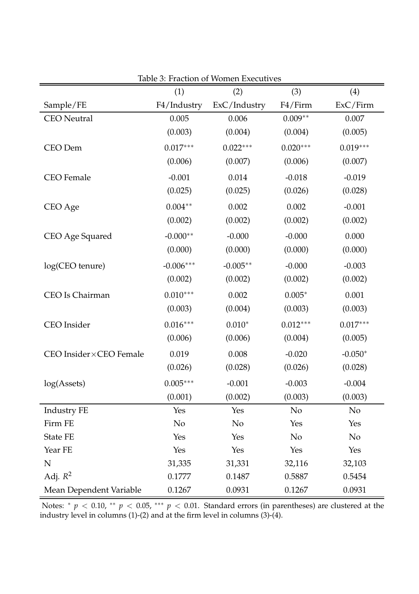<span id="page-35-0"></span>

|                         | (1)         | (2)          | (3)        | (4)            |
|-------------------------|-------------|--------------|------------|----------------|
| Sample/FE               | F4/Industry | ExC/Industry | F4/Firm    | ExC/Firm       |
| <b>CEO</b> Neutral      | 0.005       | 0.006        | $0.009**$  | 0.007          |
|                         | (0.003)     | (0.004)      | (0.004)    | (0.005)        |
| CEO Dem                 | $0.017***$  | $0.022***$   | $0.020***$ | $0.019***$     |
|                         | (0.006)     | (0.007)      | (0.006)    | (0.007)        |
| <b>CEO</b> Female       | $-0.001$    | 0.014        | $-0.018$   | $-0.019$       |
|                         | (0.025)     | (0.025)      | (0.026)    | (0.028)        |
| CEO Age                 | $0.004**$   | 0.002        | 0.002      | $-0.001$       |
|                         | (0.002)     | (0.002)      | (0.002)    | (0.002)        |
| CEO Age Squared         | $-0.000**$  | $-0.000$     | $-0.000$   | 0.000          |
|                         | (0.000)     | (0.000)      | (0.000)    | (0.000)        |
| log(CEO tenure)         | $-0.006***$ | $-0.005**$   | $-0.000$   | $-0.003$       |
|                         | (0.002)     | (0.002)      | (0.002)    | (0.002)        |
| CEO Is Chairman         | $0.010***$  | 0.002        | $0.005*$   | 0.001          |
|                         | (0.003)     | (0.004)      | (0.003)    | (0.003)        |
| CEO Insider             | $0.016***$  | $0.010*$     | $0.012***$ | $0.017***$     |
|                         | (0.006)     | (0.006)      | (0.004)    | (0.005)        |
| CEO Insider×CEO Female  | 0.019       | 0.008        | $-0.020$   | $-0.050*$      |
|                         | (0.026)     | (0.028)      | (0.026)    | (0.028)        |
| log(A <sub>sets</sub> ) | $0.005***$  | $-0.001$     | $-0.003$   | $-0.004$       |
|                         | (0.001)     | (0.002)      | (0.003)    | (0.003)        |
| Industry FE             | Yes         | Yes          | No         | No             |
| Firm FE                 | No          | No           | Yes        | Yes            |
| <b>State FE</b>         | Yes         | Yes          | No         | N <sub>o</sub> |
| Year FE                 | Yes         | Yes          | Yes        | Yes            |
| ${\bf N}$               | 31,335      | 31,331       | 32,116     | 32,103         |
| Adj. $R^2$              | 0.1777      | 0.1487       | 0.5887     | 0.5454         |
| Mean Dependent Variable | 0.1267      | 0.0931       | 0.1267     | 0.0931         |

Table 3: Fraction of Women Executives

Notes: <sup>∗</sup> *p* < 0.10, ∗∗ *p* < 0.05, ∗∗∗ *p* < 0.01. Standard errors (in parentheses) are clustered at the industry level in columns (1)-(2) and at the firm level in columns (3)-(4).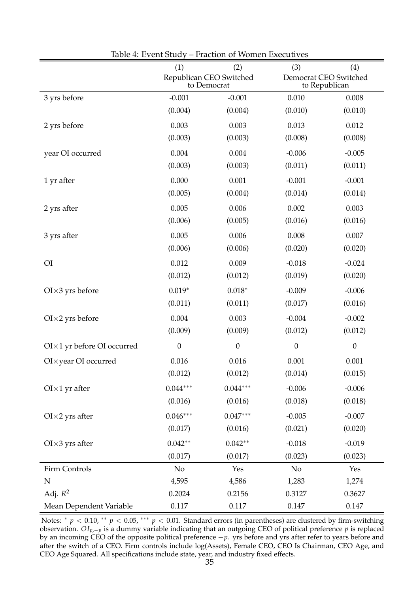<span id="page-36-0"></span>

|                                      | (1)<br>(2)                             |                  | (3)<br>(4)            |                  |  |
|--------------------------------------|----------------------------------------|------------------|-----------------------|------------------|--|
|                                      | Republican CEO Switched<br>to Democrat |                  | Democrat CEO Switched | to Republican    |  |
| 3 yrs before                         | $-0.001$                               | $-0.001$         | 0.010                 | 0.008            |  |
|                                      | (0.004)                                | (0.004)          | (0.010)               | (0.010)          |  |
| 2 yrs before                         | 0.003                                  | 0.003            | 0.013                 | 0.012            |  |
|                                      | (0.003)                                | (0.003)          | (0.008)               | (0.008)          |  |
| year OI occurred                     | 0.004                                  | 0.004            | $-0.006$              | $-0.005$         |  |
|                                      | (0.003)                                | (0.003)          | (0.011)               | (0.011)          |  |
| 1 yr after                           | 0.000                                  | 0.001            | $-0.001$              | $-0.001$         |  |
|                                      | (0.005)                                | (0.004)          | (0.014)               | (0.014)          |  |
| 2 yrs after                          | 0.005                                  | 0.006            | 0.002                 | 0.003            |  |
|                                      | (0.006)                                | (0.005)          | (0.016)               | (0.016)          |  |
| 3 yrs after                          | 0.005                                  | 0.006            | 0.008                 | 0.007            |  |
|                                      | (0.006)                                | (0.006)          | (0.020)               | (0.020)          |  |
| O <sub>I</sub>                       | 0.012                                  | 0.009            | $-0.018$              | $-0.024$         |  |
|                                      | (0.012)                                | (0.012)          | (0.019)               | (0.020)          |  |
| $O I \times 3$ yrs before            | $0.019*$                               | $0.018*$         | $-0.009$              | $-0.006$         |  |
|                                      | (0.011)                                | (0.011)          | (0.017)               | (0.016)          |  |
| $O I \times 2$ yrs before            | 0.004                                  | 0.003            | $-0.004$              | $-0.002$         |  |
|                                      | (0.009)                                | (0.009)          | (0.012)               | (0.012)          |  |
| $O I \times 1$ yr before OI occurred | $\boldsymbol{0}$                       | $\boldsymbol{0}$ | $\boldsymbol{0}$      | $\boldsymbol{0}$ |  |
| OI × year OI occurred                | 0.016                                  | 0.016            | 0.001                 | 0.001            |  |
|                                      | (0.012)                                | (0.012)          | (0.014)               | (0.015)          |  |
| $O I \times 1$ yr after              | $0.044***$                             | $0.044***$       | $-0.006$              | $-0.006$         |  |
|                                      | (0.016)                                | (0.016)          | (0.018)               | (0.018)          |  |
| $O I \times 2$ yrs after             | $0.046***$                             | $0.047***$       | $-0.005$              | $-0.007$         |  |
|                                      | (0.017)                                | (0.016)          | (0.021)               | (0.020)          |  |
| $O I \times 3$ yrs after             | $0.042**$                              | $0.042**$        | $-0.018$              | $-0.019$         |  |
|                                      | (0.017)                                | (0.017)          | (0.023)               | (0.023)          |  |
| Firm Controls                        | N <sub>o</sub>                         | Yes              | No                    | Yes              |  |
| N                                    | 4,595                                  | 4,586            | 1,283                 | 1,274            |  |
| Adj. $R^2$                           | 0.2024                                 | 0.2156           | 0.3127                | 0.3627           |  |
| Mean Dependent Variable              | 0.117                                  | 0.117            | 0.147                 | 0.147            |  |

| Table 4: Event Study – Fraction of Women Executives |  |  |  |
|-----------------------------------------------------|--|--|--|
|-----------------------------------------------------|--|--|--|

Notes: <sup>∗</sup> *p* < 0.10, ∗∗ *p* < 0.05, ∗∗∗ *p* < 0.01. Standard errors (in parentheses) are clustered by firm-switching observation. *OIp*,−*p* is a dummy variable indicating that an outgoing CEO of political preference *p* is replaced by an incoming CEO of the opposite political preference −*p*. yrs before and yrs after refer to years before and after the switch of a CEO. Firm controls include log(Assets), Female CEO, CEO Is Chairman, CEO Age, and CEO Age Squared. All specifications include state, year, and industry fixed effects.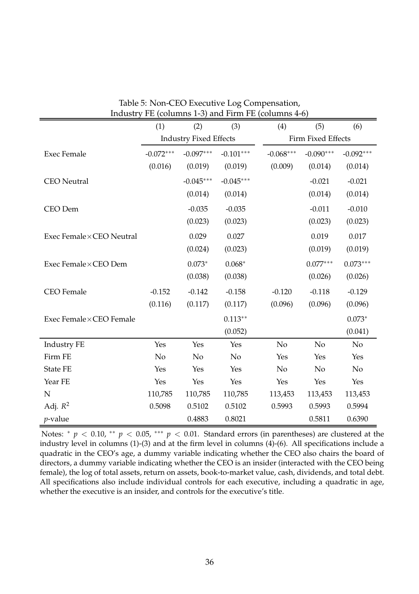<span id="page-37-0"></span>

| $\mu$ and $\mu$ is the problem of $\mu$ and $\mu$ and $\mu$ and $\mu$ (columns $\pm$ 0) |                |                               |             |                |                    |                |  |
|-----------------------------------------------------------------------------------------|----------------|-------------------------------|-------------|----------------|--------------------|----------------|--|
|                                                                                         | (1)            | (2)                           | (3)         | (4)            | (5)                | (6)            |  |
|                                                                                         |                | <b>Industry Fixed Effects</b> |             |                | Firm Fixed Effects |                |  |
| <b>Exec Female</b>                                                                      | $-0.072***$    | $-0.097***$                   | $-0.101***$ | $-0.068***$    | $-0.090***$        | $-0.092***$    |  |
|                                                                                         | (0.016)        | (0.019)                       | (0.019)     | (0.009)        | (0.014)            | (0.014)        |  |
| <b>CEO</b> Neutral                                                                      |                | $-0.045***$                   | $-0.045***$ |                | $-0.021$           | $-0.021$       |  |
|                                                                                         |                | (0.014)                       | (0.014)     |                | (0.014)            | (0.014)        |  |
| CEO Dem                                                                                 |                | $-0.035$                      | $-0.035$    |                | $-0.011$           | $-0.010$       |  |
|                                                                                         |                | (0.023)                       | (0.023)     |                | (0.023)            | (0.023)        |  |
| Exec Female×CEO Neutral                                                                 |                | 0.029                         | 0.027       |                | 0.019              | 0.017          |  |
|                                                                                         |                | (0.024)                       | (0.023)     |                | (0.019)            | (0.019)        |  |
| Exec Female×CEO Dem                                                                     |                | $0.073*$                      | $0.068*$    |                | $0.077***$         | $0.073***$     |  |
|                                                                                         |                | (0.038)                       | (0.038)     |                | (0.026)            | (0.026)        |  |
| <b>CEO</b> Female                                                                       | $-0.152$       | $-0.142$                      | $-0.158$    | $-0.120$       | $-0.118$           | $-0.129$       |  |
|                                                                                         | (0.116)        | (0.117)                       | (0.117)     | (0.096)        | (0.096)            | (0.096)        |  |
| Exec Female×CEO Female                                                                  |                |                               | $0.113**$   |                |                    | $0.073*$       |  |
|                                                                                         |                |                               | (0.052)     |                |                    | (0.041)        |  |
| Industry FE                                                                             | Yes            | Yes                           | Yes         | N <sub>o</sub> | No                 | N <sub>o</sub> |  |
| Firm FE                                                                                 | N <sub>o</sub> | No                            | No          | Yes            | Yes                | Yes            |  |
| <b>State FE</b>                                                                         | Yes            | Yes                           | Yes         | N <sub>o</sub> | N <sub>o</sub>     | N <sub>o</sub> |  |
| Year FE                                                                                 | Yes            | Yes                           | Yes         | Yes            | Yes                | Yes            |  |
| $\mathbf N$                                                                             | 110,785        | 110,785                       | 110,785     | 113,453        | 113,453            | 113,453        |  |
| Adj. $R^2$                                                                              | 0.5098         | 0.5102                        | 0.5102      | 0.5993         | 0.5993             | 0.5994         |  |
| $p$ -value                                                                              |                | 0.4883                        | 0.8021      |                | 0.5811             | 0.6390         |  |

|  | Table 5: Non-CEO Executive Log Compensation,        |  |  |
|--|-----------------------------------------------------|--|--|
|  | Industry FE (columns 1-3) and Firm FE (columns 4-6) |  |  |

Notes: <sup>∗</sup> *p* < 0.10, ∗∗ *p* < 0.05, ∗∗∗ *p* < 0.01. Standard errors (in parentheses) are clustered at the industry level in columns (1)-(3) and at the firm level in columns (4)-(6). All specifications include a quadratic in the CEO's age, a dummy variable indicating whether the CEO also chairs the board of directors, a dummy variable indicating whether the CEO is an insider (interacted with the CEO being female), the log of total assets, return on assets, book-to-market value, cash, dividends, and total debt. All specifications also include individual controls for each executive, including a quadratic in age, whether the executive is an insider, and controls for the executive's title.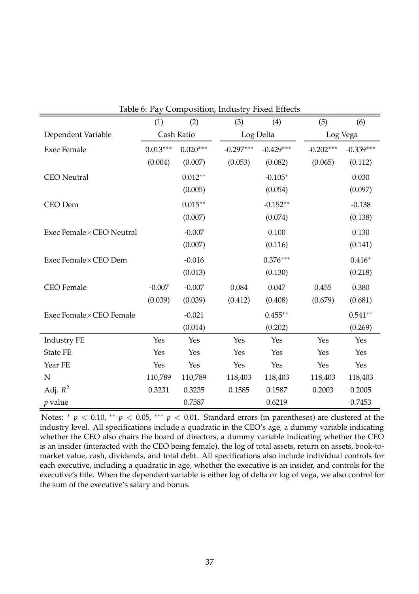<span id="page-38-0"></span>

|                         | (1)        | (2)        | Table 6. Fay Composition, muustry Fixed Effects<br>(3) | (4)         | (5)         | (6)         |  |
|-------------------------|------------|------------|--------------------------------------------------------|-------------|-------------|-------------|--|
| Dependent Variable      |            | Cash Ratio | Log Delta                                              |             |             | Log Vega    |  |
| <b>Exec Female</b>      | $0.013***$ | $0.020***$ | $-0.297***$                                            | $-0.429***$ | $-0.202***$ | $-0.359***$ |  |
|                         | (0.004)    | (0.007)    | (0.053)                                                | (0.082)     | (0.065)     | (0.112)     |  |
|                         |            | $0.012**$  |                                                        |             |             |             |  |
| <b>CEO</b> Neutral      |            |            |                                                        | $-0.105*$   |             | 0.030       |  |
|                         |            | (0.005)    |                                                        | (0.054)     |             | (0.097)     |  |
| CEO Dem                 |            | $0.015**$  |                                                        | $-0.152**$  |             | $-0.138$    |  |
|                         |            | (0.007)    |                                                        | (0.074)     |             | (0.138)     |  |
| Exec Female×CEO Neutral |            | $-0.007$   |                                                        | 0.100       |             | 0.130       |  |
|                         |            | (0.007)    |                                                        | (0.116)     |             | (0.141)     |  |
| Exec Female×CEO Dem     |            | $-0.016$   |                                                        | $0.376***$  |             | $0.416*$    |  |
|                         |            | (0.013)    |                                                        | (0.130)     |             | (0.218)     |  |
| <b>CEO</b> Female       | $-0.007$   | $-0.007$   | 0.084                                                  | 0.047       | 0.455       | 0.380       |  |
|                         | (0.039)    | (0.039)    | (0.412)                                                | (0.408)     | (0.679)     | (0.681)     |  |
| Exec Female×CEO Female  |            | $-0.021$   |                                                        | $0.455**$   |             | $0.541**$   |  |
|                         |            | (0.014)    |                                                        | (0.202)     |             | (0.269)     |  |
| Industry FE             | Yes        | Yes        | Yes                                                    | Yes         | Yes         | Yes         |  |
| <b>State FE</b>         | Yes        | Yes        | Yes                                                    | Yes         | Yes         | Yes         |  |
| Year FE                 | Yes        | Yes        | Yes                                                    | Yes         | Yes         | Yes         |  |
| $\mathbf N$             | 110,789    | 110,789    | 118,403                                                | 118,403     | 118,403     | 118,403     |  |
| Adj. $R^2$              | 0.3231     | 0.3235     | 0.1585                                                 | 0.1587      | 0.2003      | 0.2005      |  |
| $p$ value               |            | 0.7587     |                                                        | 0.6219      |             | 0.7453      |  |

|  |  | Table 6: Pay Composition, Industry Fixed Effects |  |
|--|--|--------------------------------------------------|--|
|--|--|--------------------------------------------------|--|

Notes: <sup>∗</sup> *p* < 0.10, ∗∗ *p* < 0.05, ∗∗∗ *p* < 0.01. Standard errors (in parentheses) are clustered at the industry level. All specifications include a quadratic in the CEO's age, a dummy variable indicating whether the CEO also chairs the board of directors, a dummy variable indicating whether the CEO is an insider (interacted with the CEO being female), the log of total assets, return on assets, book-tomarket value, cash, dividends, and total debt. All specifications also include individual controls for each executive, including a quadratic in age, whether the executive is an insider, and controls for the executive's title. When the dependent variable is either log of delta or log of vega, we also control for the sum of the executive's salary and bonus.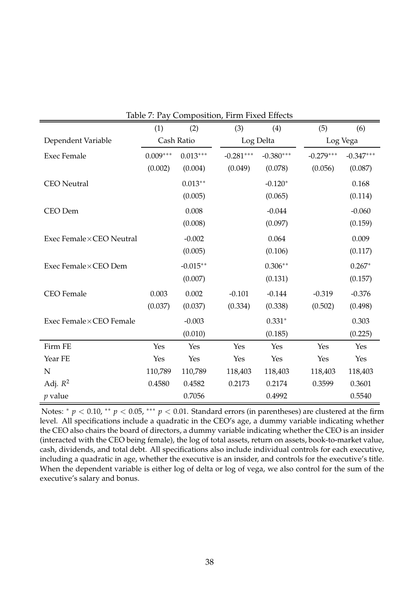<span id="page-39-0"></span>

|                           | (1)        | (2)        | (3)         | (4)         | (5)         | (6)         |  |
|---------------------------|------------|------------|-------------|-------------|-------------|-------------|--|
| Dependent Variable        |            | Cash Ratio |             | Log Delta   |             | Log Vega    |  |
| <b>Exec Female</b>        | $0.009***$ | $0.013***$ | $-0.281***$ | $-0.380***$ | $-0.279***$ | $-0.347***$ |  |
|                           | (0.002)    | (0.004)    | (0.049)     | (0.078)     | (0.056)     | (0.087)     |  |
| <b>CEO</b> Neutral        |            | $0.013**$  |             | $-0.120*$   |             | 0.168       |  |
|                           |            | (0.005)    |             | (0.065)     |             | (0.114)     |  |
| CEO Dem                   |            | 0.008      |             | $-0.044$    |             | $-0.060$    |  |
|                           |            | (0.008)    |             | (0.097)     |             | (0.159)     |  |
| Exec Female × CEO Neutral |            | $-0.002$   |             | 0.064       |             | 0.009       |  |
|                           |            | (0.005)    |             | (0.106)     |             | (0.117)     |  |
| Exec Female×CEO Dem       |            | $-0.015**$ |             | $0.306**$   |             | $0.267*$    |  |
|                           |            | (0.007)    |             | (0.131)     |             | (0.157)     |  |
| <b>CEO</b> Female         | 0.003      | 0.002      | $-0.101$    | $-0.144$    | $-0.319$    | $-0.376$    |  |
|                           | (0.037)    | (0.037)    | (0.334)     | (0.338)     | (0.502)     | (0.498)     |  |
| Exec Female×CEO Female    |            | $-0.003$   |             | $0.331*$    |             | 0.303       |  |
|                           |            | (0.010)    |             | (0.185)     |             | (0.225)     |  |
| Firm FE                   | Yes        | Yes        | Yes         | Yes         | Yes         | Yes         |  |
| Year FE                   | Yes        | Yes        | Yes         | Yes         | Yes         | Yes         |  |
| N                         | 110,789    | 110,789    | 118,403     | 118,403     | 118,403     | 118,403     |  |
| Adj. $R^2$                | 0.4580     | 0.4582     | 0.2173      | 0.2174      | 0.3599      | 0.3601      |  |
| $p$ value                 |            | 0.7056     |             | 0.4992      |             | 0.5540      |  |

Notes: <sup>∗</sup> *p* < 0.10, ∗∗ *p* < 0.05, ∗∗∗ *p* < 0.01. Standard errors (in parentheses) are clustered at the firm level. All specifications include a quadratic in the CEO's age, a dummy variable indicating whether the CEO also chairs the board of directors, a dummy variable indicating whether the CEO is an insider (interacted with the CEO being female), the log of total assets, return on assets, book-to-market value, cash, dividends, and total debt. All specifications also include individual controls for each executive, including a quadratic in age, whether the executive is an insider, and controls for the executive's title. When the dependent variable is either log of delta or log of vega, we also control for the sum of the executive's salary and bonus.